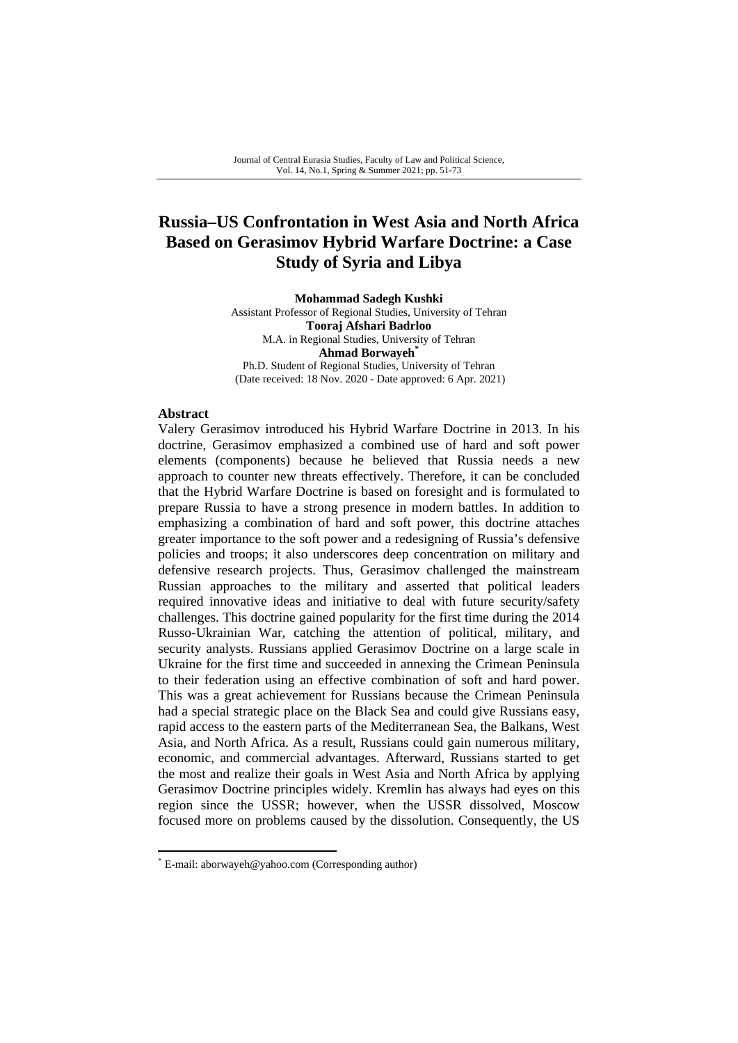# **Russia–US Confrontation in West Asia and North Africa Based on Gerasimov Hybrid Warfare Doctrine: a Case Study of Syria and Libya**

**Mohammad Sadegh Kushki**  Assistant Professor of Regional Studies, University of Tehran **Tooraj Afshari Badrloo**  M.A. in Regional Studies, University of Tehran **Ahmad Borwayeh\***  Ph.D. Student of Regional Studies, University of Tehran (Date received: 18 Nov. 2020 - Date approved: 6 Apr. 2021)

### **Abstract**

Valery Gerasimov introduced his Hybrid Warfare Doctrine in 2013. In his doctrine, Gerasimov emphasized a combined use of hard and soft power elements (components) because he believed that Russia needs a new approach to counter new threats effectively. Therefore, it can be concluded that the Hybrid Warfare Doctrine is based on foresight and is formulated to prepare Russia to have a strong presence in modern battles. In addition to emphasizing a combination of hard and soft power, this doctrine attaches greater importance to the soft power and a redesigning of Russia's defensive policies and troops; it also underscores deep concentration on military and defensive research projects. Thus, Gerasimov challenged the mainstream Russian approaches to the military and asserted that political leaders required innovative ideas and initiative to deal with future security/safety challenges. This doctrine gained popularity for the first time during the 2014 Russo-Ukrainian War, catching the attention of political, military, and security analysts. Russians applied Gerasimov Doctrine on a large scale in Ukraine for the first time and succeeded in annexing the Crimean Peninsula to their federation using an effective combination of soft and hard power. This was a great achievement for Russians because the Crimean Peninsula had a special strategic place on the Black Sea and could give Russians easy, rapid access to the eastern parts of the Mediterranean Sea, the Balkans, West Asia, and North Africa. As a result, Russians could gain numerous military, economic, and commercial advantages. Afterward, Russians started to get the most and realize their goals in West Asia and North Africa by applying Gerasimov Doctrine principles widely. Kremlin has always had eyes on this region since the USSR; however, when the USSR dissolved, Moscow focused more on problems caused by the dissolution. Consequently, the US

<sup>\*</sup> E-mail: aborwayeh@yahoo.com (Corresponding author)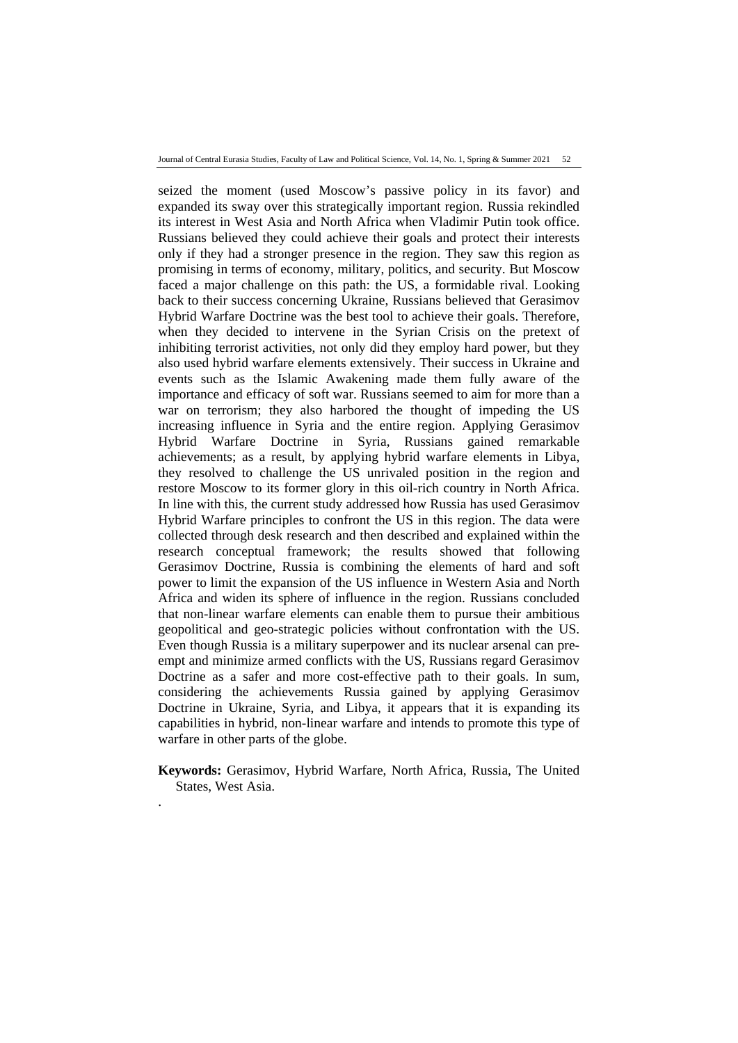seized the moment (used Moscow's passive policy in its favor) and expanded its sway over this strategically important region. Russia rekindled its interest in West Asia and North Africa when Vladimir Putin took office. Russians believed they could achieve their goals and protect their interests only if they had a stronger presence in the region. They saw this region as promising in terms of economy, military, politics, and security. But Moscow faced a major challenge on this path: the US, a formidable rival. Looking back to their success concerning Ukraine, Russians believed that Gerasimov Hybrid Warfare Doctrine was the best tool to achieve their goals. Therefore, when they decided to intervene in the Syrian Crisis on the pretext of inhibiting terrorist activities, not only did they employ hard power, but they also used hybrid warfare elements extensively. Their success in Ukraine and events such as the Islamic Awakening made them fully aware of the importance and efficacy of soft war. Russians seemed to aim for more than a war on terrorism; they also harbored the thought of impeding the US increasing influence in Syria and the entire region. Applying Gerasimov Hybrid Warfare Doctrine in Syria, Russians gained remarkable achievements; as a result, by applying hybrid warfare elements in Libya, they resolved to challenge the US unrivaled position in the region and restore Moscow to its former glory in this oil-rich country in North Africa. In line with this, the current study addressed how Russia has used Gerasimov Hybrid Warfare principles to confront the US in this region. The data were collected through desk research and then described and explained within the research conceptual framework; the results showed that following Gerasimov Doctrine, Russia is combining the elements of hard and soft power to limit the expansion of the US influence in Western Asia and North Africa and widen its sphere of influence in the region. Russians concluded that non-linear warfare elements can enable them to pursue their ambitious geopolitical and geo-strategic policies without confrontation with the US. Even though Russia is a military superpower and its nuclear arsenal can preempt and minimize armed conflicts with the US, Russians regard Gerasimov Doctrine as a safer and more cost-effective path to their goals. In sum, considering the achievements Russia gained by applying Gerasimov Doctrine in Ukraine, Syria, and Libya, it appears that it is expanding its capabilities in hybrid, non-linear warfare and intends to promote this type of warfare in other parts of the globe.

**Keywords:** Gerasimov, Hybrid Warfare, North Africa, Russia, The United States, West Asia.

.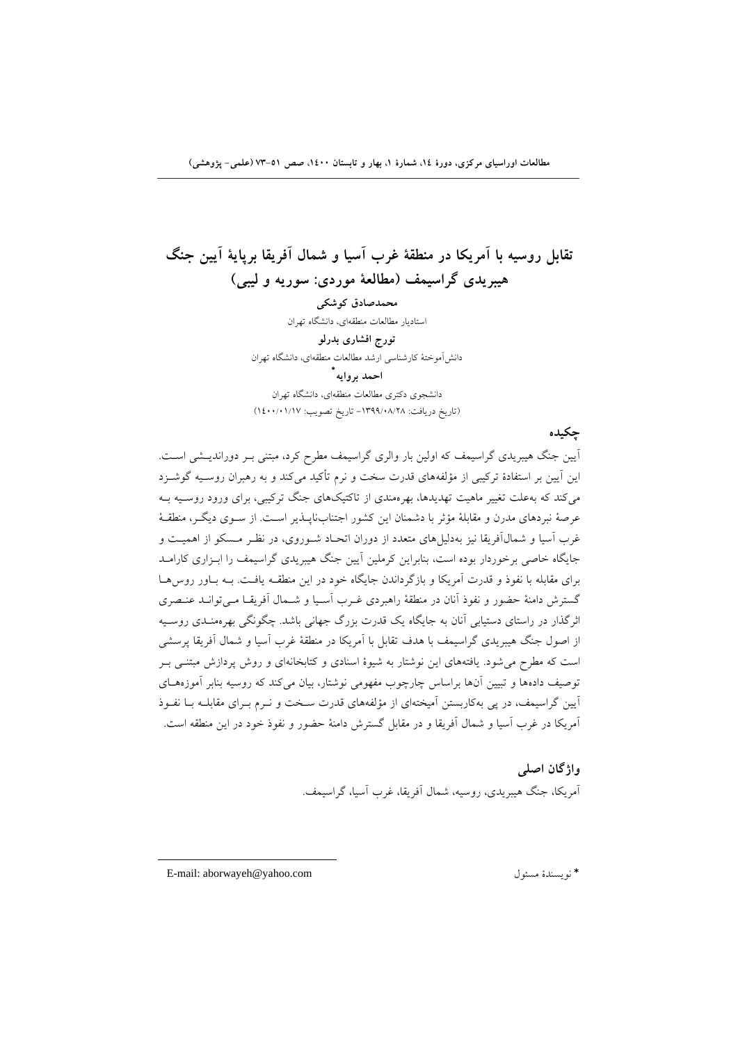# **تقابل روسيه با آمريكا در منطقة غرب آسيا و شمال آفريقا برپاية آيين جنگ هيبريدي گراسيمف (مطالعة موردي: سوريه و ليبي)**

**محمدصادق كوشكي**  استاديار مطالعات منطقهاي، دانشگاه تهران **تورج افشاري بدرلو**  دانشآموختة كارشناسي ارشد مطالعات منطقهاي، دانشگاه تهران **\* احمد بروايه** دانشجوي دكتري مطالعات منطقهاي، دانشگاه تهران

(تاريخ دريافت: -1399/08/28 تاريخ تصويب: 1400/01/17)

### **چكيده**

آيين جنگ هيبريدي گراسيمف كه اولين بار والري گراسيمف مطرح كرد، مبتني بـر دورانديـشي اسـت. اين آيين بر استفادة تركيبي از مؤلفههاي قدرت سخت و نرم تأكيد ميكند و به رهبران روسـيه گوشـزد ميكند كه بهعلت تغيير ماهيت تهديدها، بهرهمندي از تاكتيكهاي جنگ تركيبي، براي ورود روسـيه بـه عرصة نبردهاي مدرن و مقابلة مؤثر با دشمنان اين كشور اجتنابناپـذير اسـت. از سـوي ديگـر، منطقـة غرب آسيا و شمالآفريقا نيز بهدليلهاي متعدد از دوران اتحـاد شـوروي، در نظـر مـسكو از اهميـت و جايگاه خاصي برخوردار بوده است، بنابراين كرملين آيين جنگ هيبريدي گراسيمف را ابـزاري كارامـد براي مقابله با نفوذ و قدرت آمريكا و بازگرداندن جايگاه خود در اين منطقـه يافـت. بـه بـاور روسهـا گسترش دامنة حضور و نفوذ آنان در منطقة راهبردي غـرب آسـيا و شـمال آفريقـا مـيتوانـد عنـصري اثرگذار در راستاي دستيابي آنان به جايگاه يك قدرت بزرگ جهاني باشد. چگونگي بهرهمنـدي روسـيه از اصول جنگ هيبريدي گراسيمف با هدف تقابل با آمريكا در منطقة غرب آسيا و شمال آفريقا پرسشي است كه مطرح ميشود. يافتههاي اين نوشتار به شيوة اسنادي و كتابخانهاي و روش پردازش مبتنـي بـر توصيف دادهها و تبيين آنها براساس چارچوب مفهومي نوشتار، بيان ميكند كه روسيه بنابر آموزههـاي آيين گراسيمف، در پي بهكاربستن آميختهاي از مؤلفههاي قدرت سـخت و نـرم بـراي مقابلـه بـا نفـوذ آمريكا در غرب آسيا و شمال آفريقا و در مقابل گسترش دامنة حضور و نفوذ خود در اين منطقه است.

> **واژگان اصلي**  آمريكا، جنگ هيبريدي، روسيه، شمال آفريقا، غرب آسيا، گراسيمف.

E-mail: aborwayeh@yahoo.com مسئول نويسندة\*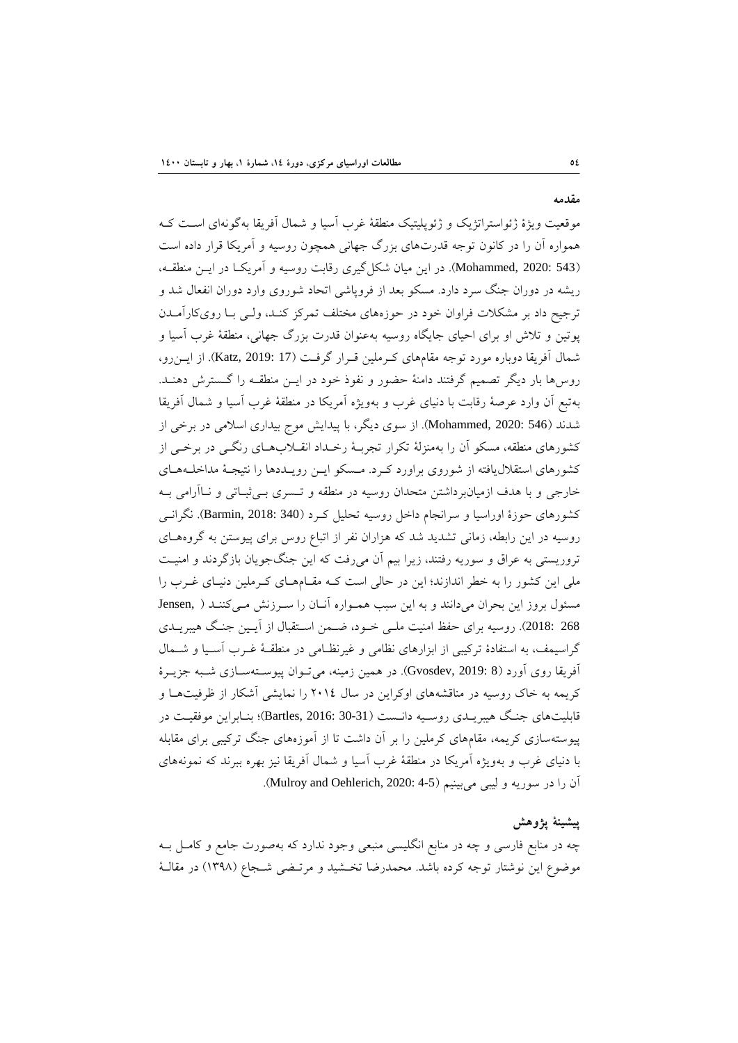موقعيت ويژة ژئواستراتژيك و ژئوپليتيك منطقة غرب آسيا و شمال آفريقا بهگونهاي اسـت كـه همواره آن را در كانون توجه قدرتهاي بزرگ جهاني همچون روسيه و آمريكا قرار داده است (543 2020: ,Mohammed(. در اين ميان شكلگيري رقابت روسيه و آمريكـا در ايـن منطقـه، ريشه در دوران جنگ سرد دارد. مسكو بعد از فروپاشي اتحاد شوروي وارد دوران انفعال شد و ترجيح داد بر مشكلات فراوان خود در حوزههاي مختلف تمركز كنـد، ولـي بـا رويكارآمـدن پوتين و تلاش او براي احياي جايگاه روسيه بهعنوان قدرت بزرگ جهاني، منطقة غرب آسيا و شمال آفريقا دوباره مورد توجه مقامهاي كـرملين قـرار گرفـت (17 2019: ,Katz(. از ايـنرو، روسها بار ديگر تصميم گرفتند دامنة حضور و نفوذ خود در ايـن منطقـه را گـسترش دهنـد. بهتبع آن وارد عرصة رقابت با دنياي غرب و بهويژه آمريكا در منطقة غرب آسيا و شمال آفريقا شدند (546 2020: ,Mohammed(. از سوي ديگر، با پيدايش موج بيداري اسلامي در برخي از كشورهاي منطقه، مسكو آن را بهمنزلة تكرار تجربـة رخـداد انقـلابهـاي رنگـي در برخـي از كشورهاي استقلاليافته از شوروي براورد كـرد. مـسكو ايـن رويـددها را نتيجـة مداخلـههـاي خارجي و با هدف ازميانبرداشتن متحدان روسيه در منطقه و تـسري بـيثبـاتي و نـاآرامي بـه كشورهاي حوزة اوراسيا و سرانجام داخل روسيه تحليل كـرد (340 2018: ,Barmin(. نگرانـي روسيه در اين رابطه، زماني تشديد شد كه هزاران نفر از اتباع روس براي پيوستن به گروههـاي تروريستي به عراق و سوريه رفتند، زيرا بيم آن ميرفت كه اين جنگجويان بازگردند و امنيـت ملي اين كشور را به خطر اندازند؛ اين در حالي است كـه مقـامهـاي كـرملين دنيـاي غـرب را مسئول بروز اين بحران ميدانند و به اين سبب همـواره آنـان را سـرزنش مـيكننـد ( ,Jensen 268 2018:). روسيه براي حفظ امنيت ملـي خـود، ضـمن اسـتقبال از آيـين جنـگ هيبريـدي گراسيمف، به استفادة تركيبي از ابزارهاي نظامي و غيرنظـامي در منطقـة غـرب آسـيا و شـمال آفريقا روي آورد (8 2019: ,Gvosdev(. در همين زمينه، ميتـوان پيوسـتهسـازي شـبه جزيـرة كريمه به خاك روسيه در مناقشههاي اوكراين در سال 2014 را نمايشي آشكار از ظرفيتهـا و قابليتهاي جنـگ هيبريـدي روسـيه دانـست (30-31 2016: ,Bartles(؛ بنـابراين موفقيـت در پيوستهسازي كريمه، مقامهاي كرملين را بر آن داشت تا از آموزههاي جنگ تركيبي براي مقابله با دنياي غرب و بهويژه آمريكا در منطقة غرب آسيا و شمال آفريقا نيز بهره ببرند كه نمونههاي آن را در سوريه و ليبي مي بينيم (4-4 :Mulroy and Oehlerich, 2020).

### **پيشينة پژوهش**

چه در منابع فارسي و چه در منابع انگليسي منبعي وجود ندارد كه بهصورت جامع و كامـل بـه موضوع اين نوشتار توجه كرده باشد. محمدرضا تخـشيد و مرتـضي شـجاع (1398) در مقالـة

**مقدمه**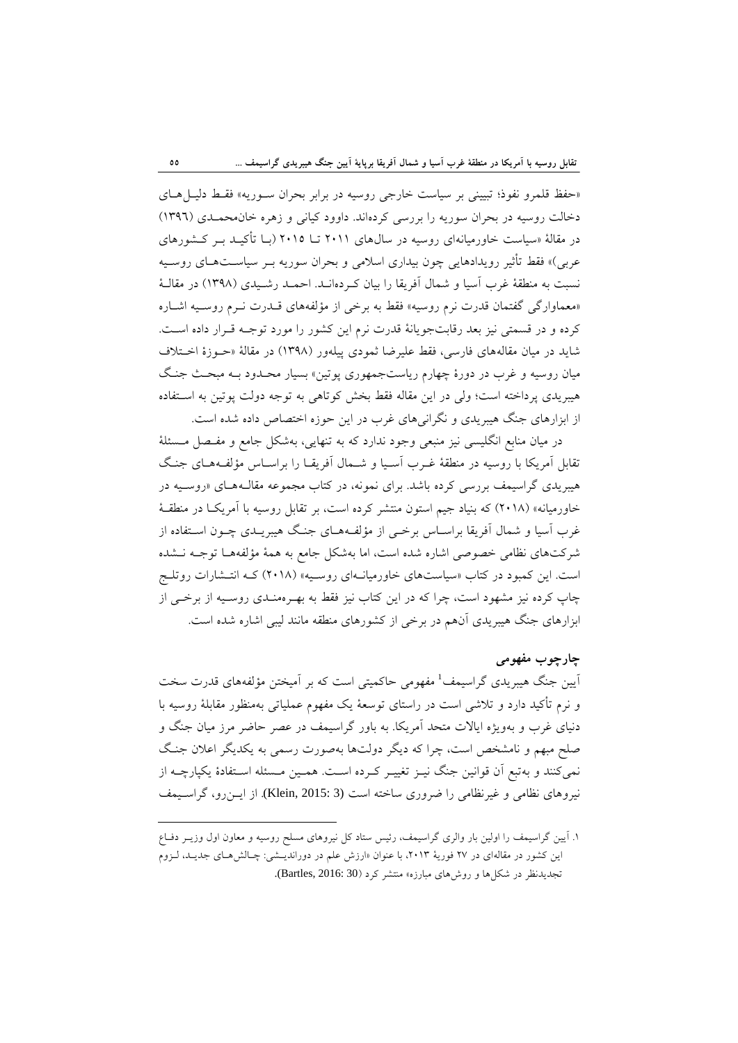«حفظ قلمرو نفوذ؛ تبييني بر سياست خارجي روسيه در برابر بحران سـوريه» فقـط دليـلهـاي دخالت روسيه در بحران سوريه را بررسي كردهاند. داوود كياني و زهره خانمحمـدي (1396) در مقالة «سياست خاورميانهاي روسيه در سالهاي 2011 تـا 2015 (بـا تأكيـد بـر كـشورهاي عربي)» فقط تأثير رويدادهايي چون بيداري اسلامي و بحران سوريه بـر سياسـتهـاي روسـيه نسبت به منطقة غرب آسيا و شمال آفريقا را بيان كـردهانـد. احمـد رشـيدي (1398) در مقالـة «معماوارگي گفتمان قدرت نرم روسيه» فقط به برخي از مؤلفههاي قـدرت نـرم روسـيه اشـاره كرده و در قسمتي نيز بعد رقابتجويانة قدرت نرم اين كشور را مورد توجـه قـرار داده اسـت. شايد در ميان مقالههاي فارسي، فقط عليرضا ثمودي پيلهور (1398) در مقالة «حـوزة اخـتلاف ميان روسيه و غرب در دورة چهارم رياستجمهوري پوتين» بسيار محـدود بـه مبحـث جنـگ هيبريدي پرداخته است؛ ولي در اين مقاله فقط بخش كوتاهي به توجه دولت پوتين به اسـتفاده از ابزارهاي جنگ هيبريدي و نگرانيهاي غرب در اين حوزه اختصاص داده شده است.

در ميان منابع انگليسي نيز منبعي وجود ندارد كه به تنهايي، بهشكل جامع و مفـصل مـسئلة تقابل آمريكا با روسيه در منطقة غـرب آسـيا و شـمال آفريقـا را براسـاس مؤلفـههـاي جنـگ هيبريدي گراسيمف بررسي كرده باشد. براي نمونه، در كتاب مجموعه مقالـههـاي «روسـيه در خاورميانه» (2018) كه بنياد جيم استون منتشر كرده است، بر تقابل روسيه با آمريكـا در منطقـة غرب آسيا و شمال آفريقا براسـاس برخـي از مؤلفـههـاي جنـگ هيبريـدي چـون اسـتفاده از شركتهاي نظامي خصوصي اشاره شده است، اما بهشكل جامع به همة مؤلفههـا توجـه نـشده است. اين كمبود در كتاب «سياستهاي خاورميانـهاي روسـيه» (2018) كـه انتـشارات روتلـج چاپ كرده نيز مشهود است، چرا كه در اين كتاب نيز فقط به بهـرهمنـدي روسـيه از برخـي از ابزارهاي جنگ هيبريدي آنهم در برخي از كشورهاي منطقه مانند ليبي اشاره شده است.

### **چارچوب مفهومي**

آيين جنگ هيبريدي گراسيمف<sup>1</sup> مفهومي حاكميتي است كه بر آميختن مؤلفههاي قدرت سخت و نرم تأكيد دارد و تلاشي است در راستاي توسعة يك مفهوم عملياتي بهمنظور مقابلة روسيه با دنياي غرب و بهويژه ايالات متحد آمريكا. به باور گراسيمف در عصر حاضر مرز ميان جنگ و صلح مبهم و نامشخص است، چرا كه ديگر دولتها بهصورت رسمي به يكديگر اعلان جنـگ نميكنند و بهتبع آن قوانين جنگ نيـز تغييـر كـرده اسـت. همـين مـسئله اسـتفادة يكپارچـه از نيروهاي نظامي و غيرنظامي را ضروري ساخته است (3 :3blein, 2015). از ايـن(و، گراسـيمف

<sup>.</sup>1 آيين گراسيمف را اولين بار والري گراسيمف، رئيس ستاد كل نيروهاي مسلح روسيه و معاون اول وزيـر دفـاع اين كشور در مقالهاي در ٢٧ فوريهٔ ٢٠١٣، با عنوان «ارزش علم در دورانديــشي: چـالشهـاي جديــد، لـزوم تجديدنظر در شكلها و روشهاي مبارزه» منتشر كرد (30 2016: ,Bartles(.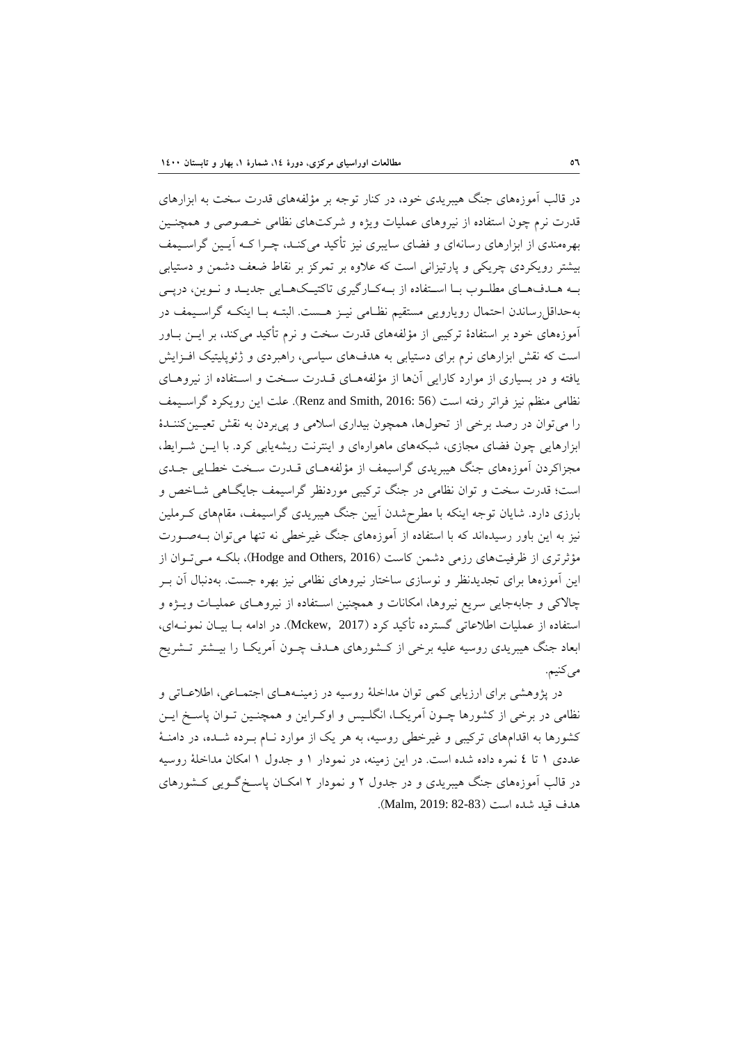در قالب آموزههاي جنگ هيبريدي خود، در كنار توجه بر مؤلفههاي قدرت سخت به ابزارهاي قدرت نرم چون استفاده از نيروهاي عمليات ويژه و شركتهاي نظامي خـصوصي و همچنـين بهرهمندي از ابزارهاي رسانهاي و فضاي سايبري نيز تأكيد ميكنـد، چـرا كـه آيـين گراسـيمف بيشتر رويكردي چريكي و پارتيزاني است كه علاوه بر تمركز بر نقاط ضعف دشمن و دستيابي بـه هـدفهـاي مطلـوب بـا اسـتفاده از بـهكـارگيري تاكتيـكهـايي جديـد و نـوين، درپـي بهحداقلرساندن احتمال رويارويي مستقيم نظـامي نيـز هـست. البتـه بـا اينكـه گراسـيمف در آموزههاي خود بر استفادة تركيبي از مؤلفههاي قدرت سخت و نرم تأكيد ميكند، بر ايـن بـاور است كه نقش ابزارهاي نرم براي دستيابي به هدفهاي سياسي، راهبردي و ژئوپليتيك افـزايش يافته و در بسياري از موارد كارايي آنها از مؤلفههـاي قـدرت سـخت و اسـتفاده از نيروهـاي نظامي منظم نيز فراتر رفته است (56 :Renz and Smith, 2016). علت اين رويكرد گراسـيمف را ميتوان در رصد برخي از تحولها، همچون بيداري اسلامي و پيبردن به نقش تعيـينكننـدة ابزارهايي چون فضاي مجازي، شبكههاي ماهوارهاي و اينترنت ريشهيابي كرد. با ايـن شـرايط، مجزاكردن آموزههاي جنگ هيبريدي گراسيمف از مؤلفههـاي قـدرت سـخت خطـايي جـدي است؛ قدرت سخت و توان نظامي در جنگ تركيبي موردنظر گراسيمف جايگـاهي شـاخص و بارزي دارد. شايان توجه اينكه با مطرحشدن آيين جنگ هيبريدي گراسيمف، مقامهاي كـرملين نيز به اين باور رسيدهاند كه با استفاده از آموزههاي جنگ غيرخطي نه تنها ميتوان بـهصـورت مؤثرتري از ظرفيتهاي رزمي دشمن كاست (2016 ,Hodge and Others)، بلكـه مـي تـوان از اين آموزهها براي تجديدنظر و نوسازي ساختار نيروهاي نظامي نيز بهره جست. بهدنبال آن بـر چالاكي و جابهجايي سريع نيروها، امكانات و همچنين اسـتفاده از نيروهـاي عمليـات ويـژه و استفاده از عمليات اطلاعاتي گسترده تأكيد كرد (2017 ,Mckew(. در ادامه بـا بيـان نمونـهاي، ابعاد جنگ هيبريدي روسيه عليه برخي از كـشورهاي هـدف چـون آمريكـا را بيـشتر تـشريح مي كنيم.

در پژوهشي براي ارزيابي كمي توان مداخلة روسيه در زمينـههـاي اجتمـاعي، اطلاعـاتي و نظامي در برخي از كشورها چـون آمريكـا، انگلـيس و اوكـراين و همچنـين تـوان پاسـخ ايـن كشورها به اقدامهاي تركيبي و غيرخطي روسيه، به هر يك از موارد نـام بـرده شـده، در دامنـة عددي 1 تا 4 نمره داده شده است. در اين زمينه، در نمودار 1 و جدول 1 امكان مداخلة روسيه در قالب آموزههاي جنگ هيبريدي و در جدول 2 و نمودار 2 امكـان پاسـخگـويي كـشورهاي هدف قيد شده است (82-83 2019: ,Malm(.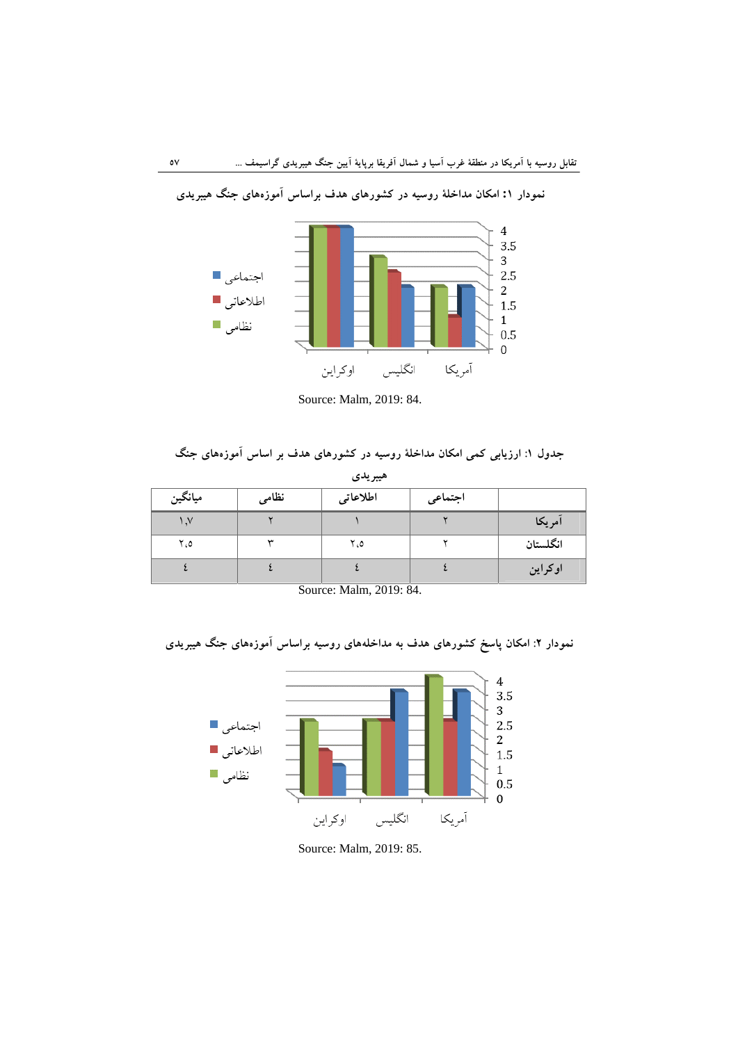

**نمودار :1 امكان مداخلة روسيه در كشورهاي هدف براساس آموزههاي جنگ هيبريدي**

Source: Malm, 2019: 84.

### **جدول :1 ارزيابي كمي امكان مداخلة روسيه در كشورهاي هدف بر اساس آموزههاي جنگ**

| هيبريدي               |       |          |         |          |  |  |
|-----------------------|-------|----------|---------|----------|--|--|
| ميانگين               | نظامى | اطلاعاتى | اجتماعى |          |  |  |
| $\lambda$ , $\lambda$ |       |          |         | آمريكا   |  |  |
| ٥، ٢                  | w     | ٥، ٢     |         | انگلستان |  |  |
|                       |       |          |         | اوكراين  |  |  |

Source: Malm, 2019: 84.

**نمودار :2 امكان پاسخ كشورهاي هدف به مداخلههاي روسيه براساس آموزههاي جنگ هيبريدي**



Source: Malm, 2019: 85.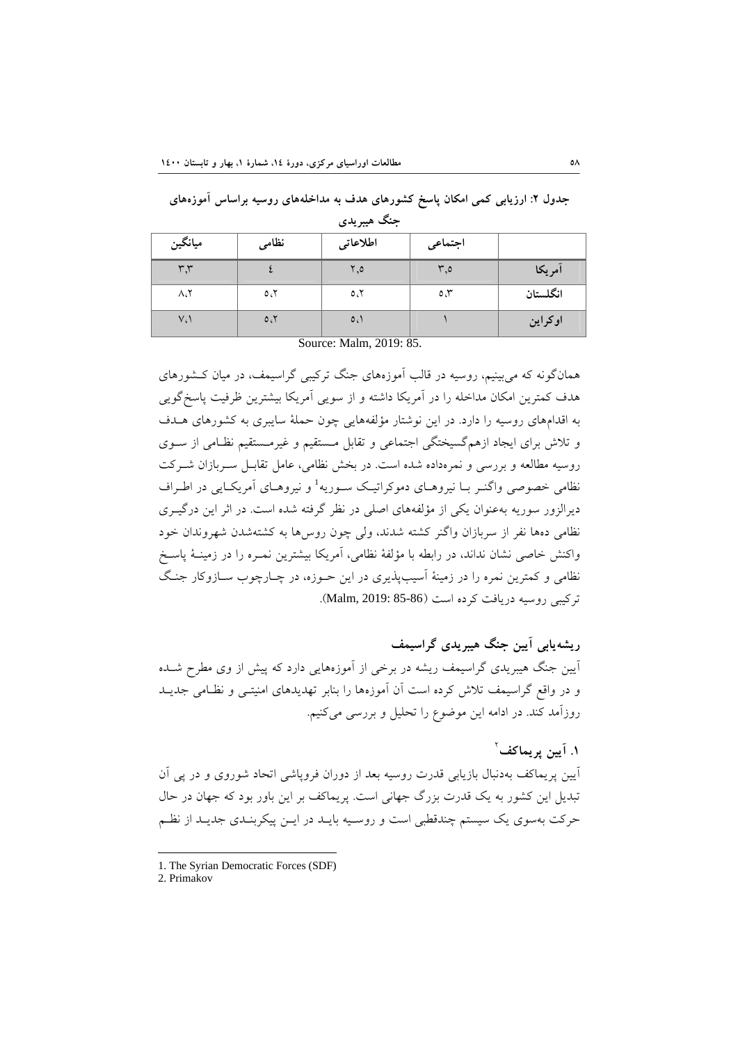## **جدول :2 ارزيابي كمي امكان پاسخ كشورهاي هدف به مداخلههاي روسيه براساس آموزههاي**

| ميانگين                          | نظامى | اطلاعاتى | اجتماعي      |          |  |  |
|----------------------------------|-------|----------|--------------|----------|--|--|
| ٣٫٣                              |       | ٥, ٢     | ٥.٣          | أمريكا   |  |  |
| $\Lambda_{\mathfrak{s}}\Upsilon$ | 0.5   | 0.7      | $\circ \tau$ | انگلستان |  |  |
| $V_{c}$                          | 0.7   | 0.1      |              | اوكراين  |  |  |
| Source: Malm, 2019: 85.          |       |          |              |          |  |  |

**جنگ هيبريدي** 

همانگونه كه ميبينيم، روسيه در قالب آموزههاي جنگ تركيبي گراسيمف، در ميان كـشورهاي هدف كمترين امكان مداخله را در آمريكا داشته و از سويي آمريكا بيشترين ظرفيت پاسخگويي به اقدامهاي روسيه را دارد. در اين نوشتار مؤلفههايي چون حملة سايبري به كشورهاي هـدف و تلاش براي ايجاد ازهمگسيختگي اجتماعي و تقابل مـستقيم و غيرمـستقيم نظـامي از سـوي روسيه مطالعه و بررسي و نمرهداده شده است. در بخش نظامي، عامل تقابـل سـربازان شـركت نظامي خصوصي واگنـر بــا نيروهــاي دموكراتيــك ســوريه<sup>1</sup> و نيروهــاي آمريكــايي در اطــراف ديرالزور سوريه بهعنوان يكي از مؤلفههاي اصلي در نظر گرفته شده است. در اثر اين درگيـري نظامي دهها نفر از سربازان واگنر كشته شدند، ولي چون روسها به كشتهشدن شهروندان خود واكنش خاصي نشان نداند، در رابطه با مؤلفة نظامي، آمريكا بيشترين نمـره را در زمينـة پاسـخ نظامي و كمترين نمره را در زمينة آسيبپذيري در اين حـوزه، در چـارچوب سـازوكار جنـگ تركيبي روسيه دريافت كرده است (85-86 2019: ,Malm(.

**ريشهيابي آيين جنگ هيبريدي گراسيمف** آيين جنگ هيبريدي گراسيمف ريشه در برخي از آموزههايي دارد كه پيش از وي مطرح شـده و در واقع گراسيمف تلاش كرده است آن آموزهها را بنابر تهديدهاي امنيتـي و نظـامي جديـد روزآمد كند. در ادامه اين موضوع را تحليل و بررسي ميكنيم.

2 **.1 آيين پريماكف** آيين پريماكف بهدنبال بازيابي قدرت روسيه بعد از دوران فروپاشي اتحاد شوروي و در پي آن تبديل اين كشور به يك قدرت بزرگ جهاني است. پريماكف بر اين باور بود كه جهان در حال حركت بهسوي يك سيستم چندقطبي است و روسـيه بايـد در ايـن پيكربنـدي جديـد از نظـم

 1. The Syrian Democratic Forces (SDF)

<sup>2.</sup> Primakov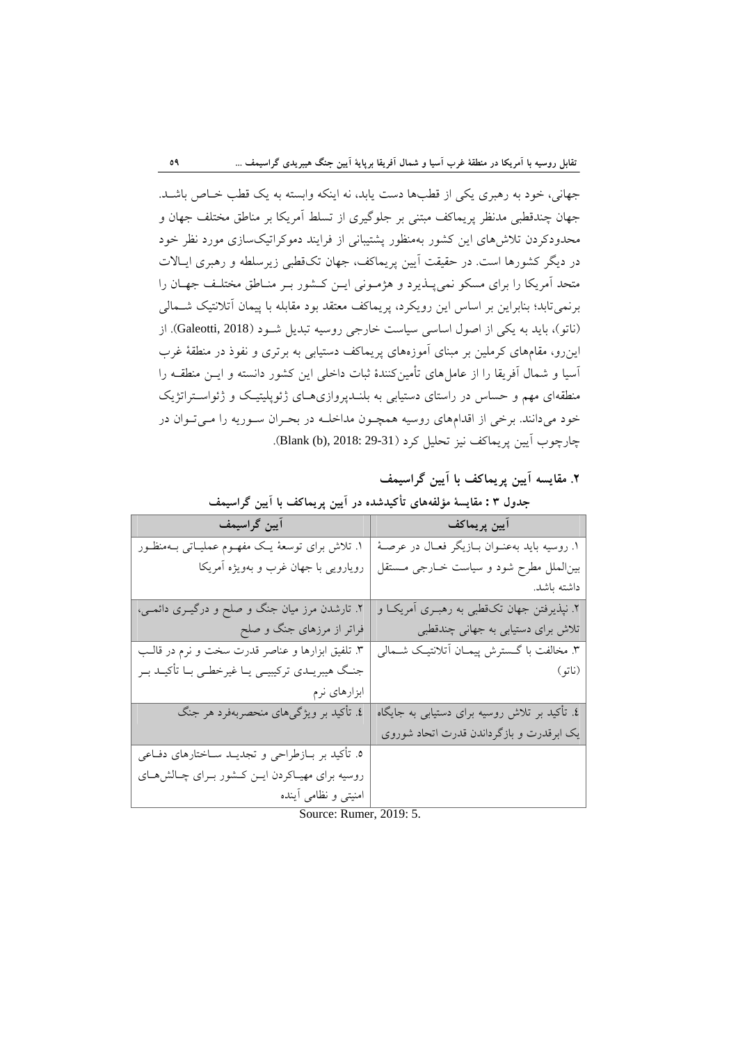جهاني، خود به رهبري يكي از قطبها دست يابد، نه اينكه وابسته به يك قطب خـاص باشـد. جهان چندقطبي مدنظر پريماكف مبتني بر جلوگيري از تسلط آمريكا بر مناطق مختلف جهان و محدودكردن تلاشهاي اين كشور بهمنظور پشتيباني از فرايند دموكراتيكسازي مورد نظر خود در ديگر كشورها است. در حقيقت آيين پريماكف، جهان تكقطبي زيرسلطه و رهبري ايـالات متحد آمريكا را براي مسكو نميپـذيرد و هژمـوني ايـن كـشور بـر منـاطق مختلـف جهـان را برنميتابد؛ بنابراين بر اساس اين رويكرد، پريماكف معتقد بود مقابله با پيمان آتلانتيك شـمالي (ناتو)، بايد به يكي از اصول اساسي سياست خارجي روسيه تبديل شـود (2018 ,Galeotti(. از اينرو، مقامهاي كرملين بر مبناي آموزههاي پريماكف دستيابي به برتري و نفوذ در منطقة غرب آسيا و شمال آفريقا را از عامل هاي تأمين كنندهٔ ثبات داخلي اين كشور دانسته و ايـن منطقـه را منطقهاي مهم و حساس در راستاي دستيابي به بلنـدپروازيهـاي ژئوپليتيـك و ژئواسـتراتژيك خود ميدانند. برخي از اقدامهاي روسيه همچـون مداخلـه در بحـران سـوريه را مـيتـوان در چارچوب آيين پريماكف نيز تحليل كرد (29-31 2018: ,(b (Blank(.

**.2 مقايسه آيين پريماكف با آيين گراسيمف**

| آيين گراسيمف                                            | آيين پريماكف                                      |
|---------------------------------------------------------|---------------------------------------------------|
| ۱. تلاش برای توسعهٔ یـک مفهــوم عملیــاتـی بــهمنظــور  | ۱. روسیه باید بهعنـوان بــازیگر فعــال در عرصــهٔ |
| رویارویی با جهان غرب و بهویژه آمریکا                    | بین الملل مطرح شود و سیاست خـارجی مـستقل          |
|                                                         | داشته باشد.                                       |
| ۲. تارشدن مرز میان جنگ و صلح و درگیــری دائمــی،        | ۲. نپذیرفتن جهان تکقطبی به رهبـری آمریکـا و       |
| فراتر از مرزهای جنگ و صلح                               | تلاش برای دستیابی به جهانی چندقطبی                |
| ۳. تلفیق ابزارها و عناصر قدرت سخت و نرم در قالـب        | ۳. مخالفت با گــسترش پیمــان اّتلانتیــک شــمالی  |
| جنگ هیبریــدی ترکیبیــی یــا غیرخطــی بــا تأکیــد بــر | (ناتو)                                            |
| ابزارهای نرم                                            |                                                   |
| ٤. تأکید بر ویژگیهای منحصربهفرد هر جنگ                  | ٤. تأکید بر تلاش روسیه برای دستیابی به جایگاه     |
|                                                         | یک ابرقدرت و بازگرداندن قدرت اتحاد شوروی          |
| ۵. تأکید بر بــازطراحی و تجدیــد ســاختارهای دفــاعی    |                                                   |
| روسیه برای مهیـاکردن ایــن کــشور بــرای چــالش،هــای   |                                                   |
| امنیتی و نظامی أینده                                    |                                                   |

**جدول 3 : مقايسة مؤلفههاي تأكيدشده در آيين پريماكف با آيين گراسيمف**

Source: Rumer, 2019: 5.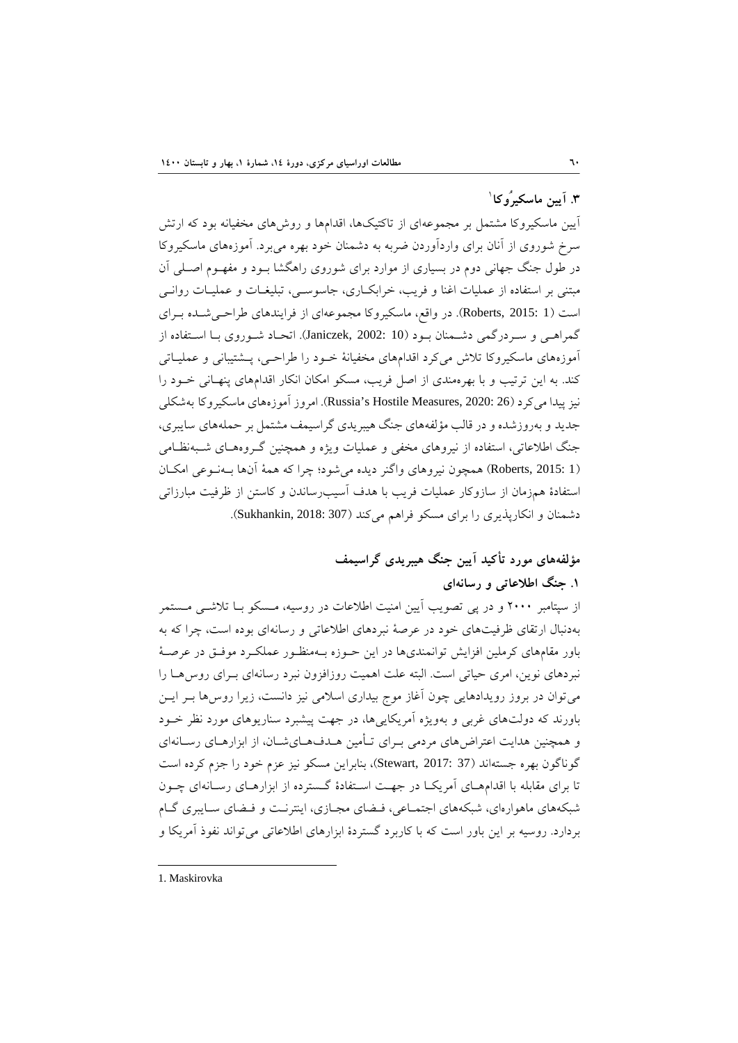1 **.3 آيين ماسكيرُوكا**

آيين ماسكيروكا مشتمل بر مجموعهاي از تاكتيكها، اقدامها و روشهاي مخفيانه بود كه ارتش سرخ شوروي از آنان براي واردآوردن ضربه به دشمنان خود بهره ميبرد. آموزههاي ماسكيروكا در طول جنگ جهاني دوم در بسياري از موارد براي شوروي راهگشا بـود و مفهـوم اصـلي آن مبتني بر استفاده از عمليات اغنا و فريب، خرابكـاري، جاسوسـي، تبليغـات و عمليـات روانـي است (1 2015: ,Roberts(. در واقع، ماسكيروكا مجموعهاي از فرايندهاي طراحـيشـده بـراي گمراهـي و سـردرگمي دشـمنان بـود (10 2002: ,Janiczek(. اتحـاد شـوروي بـا اسـتفاده از آموزههاي ماسكيروكا تلاش ميكرد اقدامهاي مخفيانة خـود را طراحـي، پـشتيباني و عمليـاتي كند. به اين ترتيب و با بهرهمندي از اصل فريب، مسكو امكان انكار اقدامهاي پنهـاني خـود را نيز پيدا مي كرد (26 :Russia's Hostile Measures, 2020). امروز آموزههاي ماسكيروكا بهشكلي جديد و بهروزشده و در قالب مؤلفههاي جنگ هيبريدي گراسيمف مشتمل بر حملههاي سايبري، جنگ اطلاعاتي، استفاده از نيروهاي مخفي و عمليات ويژه و همچنين گـروههـاي شـبهنظـامي (1 2015: ,Roberts (همچون نيروهاي واگنر ديده ميشود؛ چرا كه همة آنها بـهنـوعي امكـان استفادة همزمان از سازوكار عمليات فريب با هدف آسيبرساندن و كاستن از ظرفيت مبارزاتي دشمنان و انكارپذيري را براي مسكو فراهم ميكند (307 2018: ,Sukhankin(.

> **مؤلفههاي مورد تأكيد آيين جنگ هيبريدي گراسيمف .1 جنگ اطلاعاتي و رسانهاي**

از سپتامبر 2000 و در پي تصويب آيين امنيت اطلاعات در روسيه، مـسكو بـا تلاشـي مـستمر بهدنبال ارتقاي ظرفيتهاي خود در عرصة نبردهاي اطلاعاتي و رسانهاي بوده است، چرا كه به باور مقامهاي كرملين افزايش توانمنديها در اين حـوزه بـهمنظـور عملكـرد موفـق در عرصـة نبردهاي نوين، امري حياتي است. البته علت اهميت روزافزون نبرد رسانهاي بـراي روسهـا را ميتوان در بروز رويدادهايي چون آغاز موج بيداري اسلامي نيز دانست، زيرا روسها بـر ايـن باورند كه دولتهاي غربي و بهويژه آمريكاييها، در جهت پيشبرد سناريوهاي مورد نظر خـود و همچنين هدايت اعتراضهاي مردمي بـراي تـأمين هـدفهـايشـان، از ابزارهـاي رسـانهاي گوناگون بهره جستهاند (37 :3017 Stewart,)، بنابراين مسكو نيز عزم خود را جزم كرده است تا براي مقابله با اقدامهـاي آمريكـا در جهـت اسـتفادة گـسترده از ابزارهـاي رسـانهاي چـون شبكههاي ماهوارهاي، شبكههاي اجتمـاعي، فـضاي مجـازي، اينترنـت و فـضاي سـايبري گـام بردارد. روسيه بر اين باور است كه با كاربرد گستردة ابزارهاي اطلاعاتي ميتواند نفوذ آمريكا و

1. Maskirovka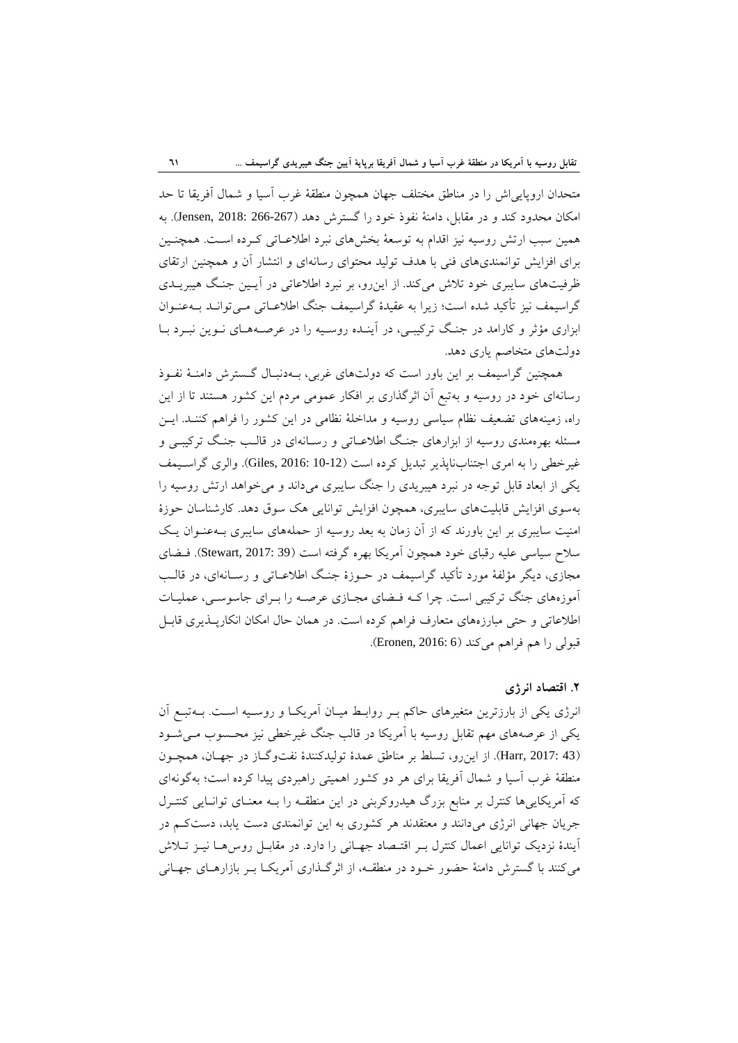متحدان اروپايياش را در مناطق مختلف جهان همچون منطقة غرب آسيا و شمال آفريقا تا حد امكان محدود كند و در مقابل، دامنة نفوذ خود را گسترش دهد (266-267 2018: ,Jensen(. به همين سبب ارتش روسيه نيز اقدام به توسعة بخشهاي نبرد اطلاعـاتي كـرده اسـت. همچنـين براي افزايش توانمنديهاي فني با هدف توليد محتواي رسانهاي و انتشار آن و همچنين ارتقاي ظرفيتهاي سايبري خود تلاش ميكند. از اينرو، بر نبرد اطلاعاتي در آيـين جنـگ هيبريـدي گراسيمف نيز تأكيد شده است؛ زيرا به عقيدة گراسيمف جنگ اطلاعـاتي مـيتوانـد بـهعنـوان ابزاري مؤثر و كارامد در جنـگ تركيبـي، در آينـده روسـيه را در عرصـههـاي نـوين نبـرد بـا دولتهاي متخاصم ياري دهد.

همچنين گراسيمف بر اين باور است كه دولتهاي غربي، بـهدنبـال گـسترش دامنـة نفـوذ رسانهاي خود در روسيه و بهتبع آن اثرگذاري بر افكار عمومي مردم اين كشور هستند تا از اين راه، زمينههاي تضعيف نظام سياسي روسيه و مداخلة نظامي در اين كشور را فراهم كننـد. ايـن مسئله بهرهمندي روسيه از ابزارهاي جنـگ اطلاعـاتي و رسـانهاي در قالـب جنـگ تركيبـي و غيرخطي را به امري اجتنابناپذير تبديل كرده است (10-12 2016: ,Giles(. والري گراسـيمف يكي از ابعاد قابل توجه در نبرد هيبريدي را جنگ سايبري ميداند و ميخواهد ارتش روسيه را بهسوي افزايش قابليتهاي سايبري، همچون افزايش توانايي هك سوق دهد. كارشناسان حوزة امنيت سايبري بر اين باورند كه از آن زمان به بعد روسيه از حملههاي سايبري بـهعنـوان يـك سلاح سياسي عليه رقباي خود همچون آمريكا بهره گرفته است (39 2017: ,Stewart(. فـضاي مجازي، ديگر مؤلفة مورد تأكيد گراسيمف در حـوزة جنـگ اطلاعـاتي و رسـانهاي، در قالـب آموزههاي جنگ تركيبي است. چرا كـه فـضاي مجـازي عرصـه را بـراي جاسوسـي، عمليـات اطلاعاتي و حتي مبارزههاي متعارف فراهم كرده است. در همان حال امكان انكارپـذيري قابـل قبولي را هم فراهم مي كند (Eronen, 2016: 6).

### **.2 اقتصاد انرژي**

انرژي يكي از بارزترين متغيرهاي حاكم بـر روابـط ميـان آمريكـا و روسـيه اسـت. بـهتبـع آن يكي از عرصههاي مهم تقابل روسيه با آمريكا در قالب جنگ غيرخطي نيز محـسوب مـيشـود (43 2017: ,Harr(. از اينرو، تسلط بر مناطق عمدة توليدكنندة نفتوگـاز در جهـان، همچـون منطقة غرب آسيا و شمال آفريقا براي هر دو كشور اهميتي راهبردي پيدا كرده است؛ بهگونهاي كه آمريكاييها كنترل بر منابع بزرگ هيدروكربني در اين منطقـه را بـه معنـاي توانـايي كنتـرل جريان جهاني انرژي ميدانند و معتقدند هر كشوري به اين توانمندي دست يابد، دستكـم در آيندة نزديك توانايي اعمال كنترل بـر اقتـصاد جهـاني را دارد. در مقابـل روسهـا نيـز تـلاش ميكنند با گسترش دامنة حضور خـود در منطقـه، از اثرگـذاري آمريكـا بـر بازارهـاي جهـاني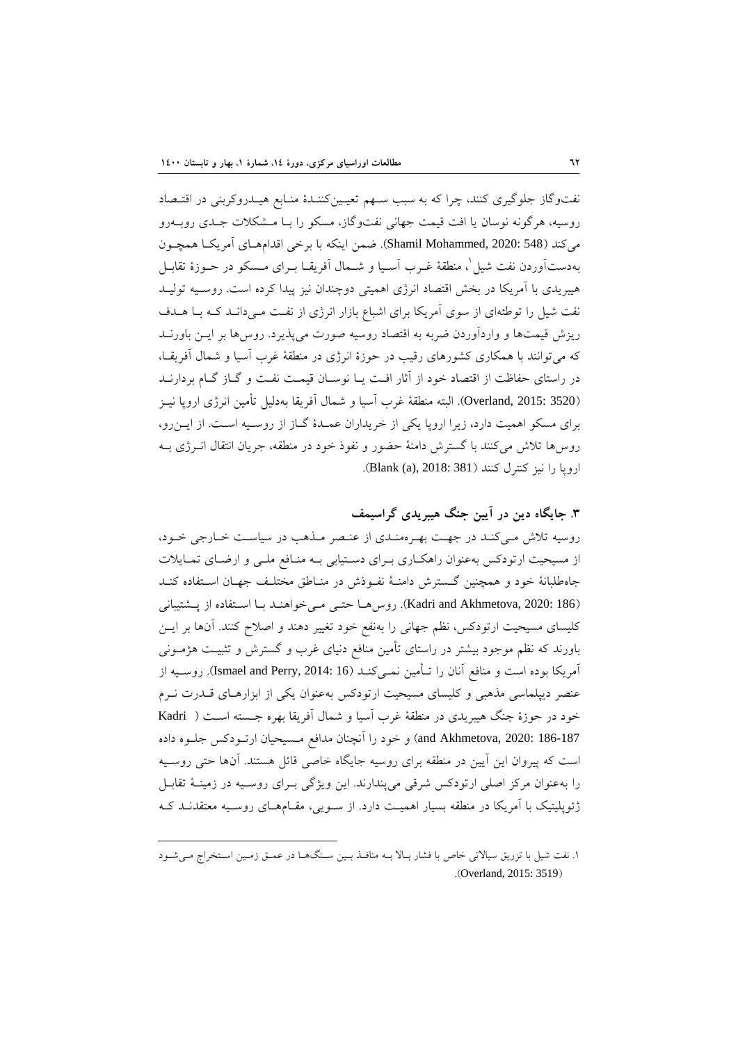نفتوگاز جلوگيري كنند، چرا كه به سبب سـهم تعيـينكننـدة منـابع هيـدروكربني در اقتـصاد روسيه، هرگونه نوسان يا افت قيمت جهاني نفتوگاز، مسكو را بـا مـشكلات جـدي روبـهرو مي كند (548 :Shamil Mohammed, 2020). ضمن اينكه با برخي اقدامهـاي آمريكـا همچـون بهدستآوردن نفت شيل'، منطقهٔ غـرب آسـيا و شــمال آفريقــا بــراي مـسكو در حــوزهٔ تقابــل هيبريدي با آمريكا در بخش اقتصاد انرژي اهميتي دوچندان نيز پيدا كرده است. روسـيه توليـد نفت شيل را توطئهاي از سوي آمريكا براي اشباع بازار انرژي از نفـت مـيدانـد كـه بـا هـدف ريزش قيمتها و واردآوردن ضربه به اقتصاد روسيه صورت ميپذيرد. روسها بر ايـن باورنـد كه ميتوانند با همكاري كشورهاي رقيب در حوزة انرژي در منطقة غرب آسيا و شمال آفريقـا، در راستاي حفاظت از اقتصاد خود از آثار افـت يـا نوسـان قيمـت نفـت و گـاز گـام بردارنـد (3520 2015: ,Overland(. البته منطقة غرب آسيا و شمال آفريقا بهدليل تأمين انرژي اروپا نيـز براي مسكو اهميت دارد، زيرا اروپا يكي از خريداران عمـدة گـاز از روسـيه اسـت. از ايـنرو، روسها تلاش ميكنند با گسترش دامنة حضور و نفوذ خود در منطقه، جريان انتقال انـرژي بـه اروپا را نيز كنترل كنند (381 Blank (a), 2018:

**.3 جايگاه دين در آيين جنگ هيبريدي گراسيمف** روسيه تلاش مـيكنـد در جهـت بهـرهمنـدي از عنـصر مـذهب در سياسـت خـارجي خـود، از مسيحيت ارتودكس بهعنوان راهكـاري بـراي دسـتيابي بـه منـافع ملـي و ارضـاي تمـايلات جاهطلبانة خود و همچنين گـسترش دامنـة نفـوذش در منـاطق مختلـف جهـان اسـتفاده كنـد (186 Kadri and Akhmetova, 2020: Kadri). روس هـا حتـي مـي خواهنـد بـا اسـتفاده از پـشتيباني كليساي مسيحيت ارتودكس، نظم جهاني را بهنفع خود تغيير دهند و اصلاح كنند. آنها بر ايـن باورند كه نظم موجود بيشتر در راستاي تأمين منافع دنياي غرب و گسترش و تثبيـت هژمـوني آمريكا بوده است و منافع آنان را تـأمين نمـيكنـد (16 2014: ,Perry and Ismael(. روسـيه از عنصر ديپلماسي مذهبي و كليساي مسيحيت ارتودكس بهعنوان يكي از ابزارهـاي قـدرت نـرم خود در حوزة جنگ هيبريدي در منطقة غرب آسيا و شمال آفريقا بهره جـسته اسـت ( Kadri 186-187 2020: ,Akhmetova and (و خود را آنچنان مدافع مـسيحيان ارتـودكس جلـوه داده است كه پيروان اين آيين در منطقه براي روسيه جايگاه خاصي قائل هستند. آنها حتي روسـيه را بهعنوان مركز اصلي ارتودكس شرقي ميپندارند. اين ويژگي بـراي روسـيه در زمينـة تقابـل ژئوپليتيك با آمريكا در منطقه بسيار اهميـت دارد. از سـويي، مقـامهـاي روسـيه معتقدنـد كـه

<sup>.</sup>1 نفت شيل با تزريق سيالاتي خاص با فشار بـالا بـه منافـذ بـين سـنگهـا در عمـق زمـين اسـتخراج مـيشـود .(Overland, 2015: 3519)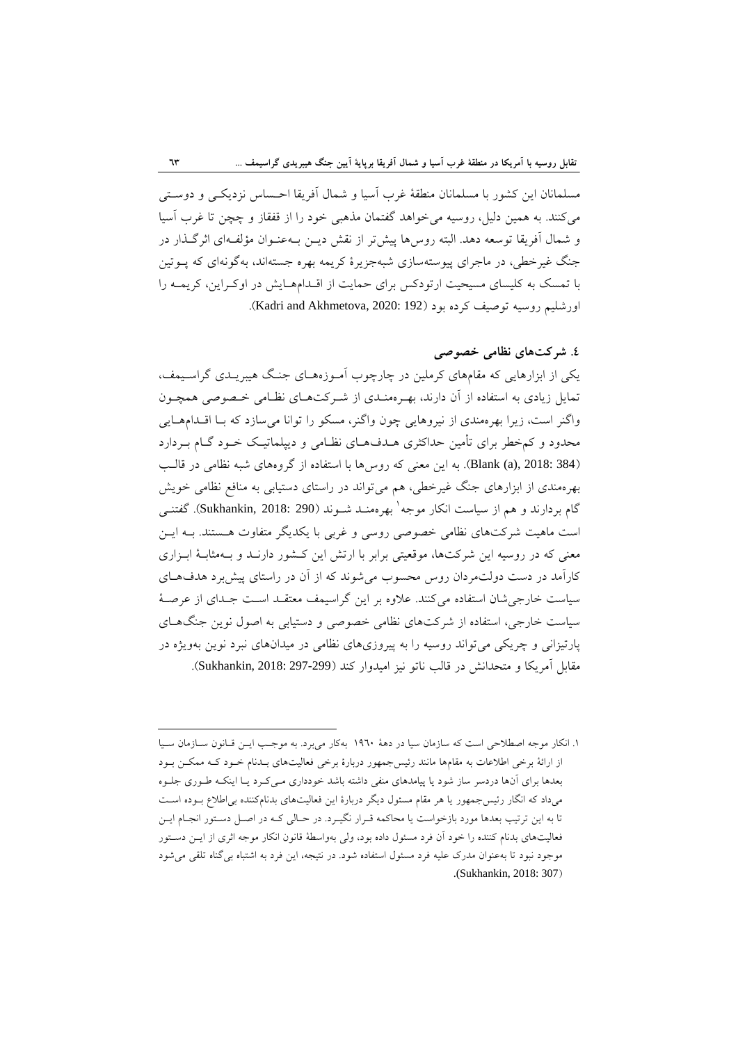مسلمانان اين كشور با مسلمانان منطقة غرب آسيا و شمال آفريقا احـساس نزديكـي و دوسـتي ميكنند. به همين دليل، روسيه ميخواهد گفتمان مذهبي خود را از قفقاز و چچن تا غرب آسيا و شمال آفريقا توسعه دهد. البته روسها پيشتر از نقش ديـن بـهعنـوان مؤلفـهاي اثرگـذار در جنگ غيرخطي، در ماجراي پيوستهسازي شبهجزيرة كريمه بهره جستهاند، بهگونهاي كه پـوتين با تمسك به كليساي مسيحيت ارتودكس براي حمايت از اقـدامهـايش در اوكـراين، كريمـه را اورشليم روسيه توصيف كرده بود (192 :1920 Kadri and Akhmetova,

### **.4 شركتهاي نظامي خصوصي**

يكي از ابزارهايي كه مقامهاي كرملين در چارچوب آمـوزههـاي جنـگ هيبريـدي گراسـيمف، تمايل زيادي به استفاده از آن دارند، بهـرهمنـدي از شـركتهـاي نظـامي خـصوصي همچـون واگنر است، زيرا بهرهمندي از نيروهايي چون واگنر، مسكو را توانا ميسازد كه بـا اقـدامهـايي محدود و كمخطر براي تأمين حداكثري هـدفهـاي نظـامي و ديپلماتيـك خـود گـام بـردارد (384 2018: ,(a (Blank(. به اين معني كه روسها با استفاده از گروههاي شبه نظامي در قالـب بهرهمندي از ابزارهاي جنگ غيرخطي، هم ميتواند در راستاي دستيابي به منافع نظامي خويش گام بردارند و هم از سياست انكار موجه<sup>ا</sup> بهرهمنـد شـوند (290 2018: Sukhankin, 2018). گفتنـي است ماهيت شركتهاي نظامي خصوصي روسي و غربي با يكديگر متفاوت هـستند. بـه ايـن معني كه در روسيه اين شركتها، موقعيتي برابر با ارتش اين كـشور دارنـد و بـهمثابـة ابـزاري كارآمد در دست دولتمردان روس محسوب مي شوند كه از آن در راستاي پيشبرد هدفهـاي سياست خارجيشان استفاده ميكنند. علاوه بر اين گراسيمف معتقـد اسـت جـداي از عرصـة سياست خارجي، استفاده از شركتهاي نظامي خصوصي و دستيابي به اصول نوين جنگهـاي پارتيزاني و چريكي ميتواند روسيه را به پيروزيهاي نظامي در ميدانهاي نبرد نوين بهويژه در مقابل آمريكا و متحدانش در قالب ناتو نيز اميدوار كند (297-299 2018: ,Sukhankin(.

<sup>.</sup>1 انكار موجه اصطلاحي است كه سازمان سيا در دهة 1960 بهكار ميبرد. به موجـب ايـن قـانون سـازمان سـيا از ارائة برخي اطلاعات به مقامها مانند رئيسجمهور دربارة برخي فعاليتهاي بـدنام خـود كـه ممكـن بـود بعدها براي آنها دردسر ساز شود يا پيامدهاي منفي داشته باشد خودداري مـيكـرد يـا اينكـه طـوري جلـوه ميداد كه انگار رئيسجمهور يا هر مقام مسئول ديگر دربارة اين فعاليتهاي بدنامكننده بياطلاع بـوده اسـت تا به اين ترتيب بعدها مورد بازخواست يا محاكمه قـرار نگيـرد. در حـالي كـه در اصـل دسـتور انجـام ايـن فعاليتهاي بدنام كننده را خود آن فرد مسئول داده بود، ولي بهواسطة قانون انكار موجه اثري از ايـن دسـتور موجود نبود تا بهعنوان مدرك عليه فرد مسئول استفاده شود. در نتيجه، اين فرد به اشتباه بيگناه تلقي ميشود .(Sukhankin, 2018: 307)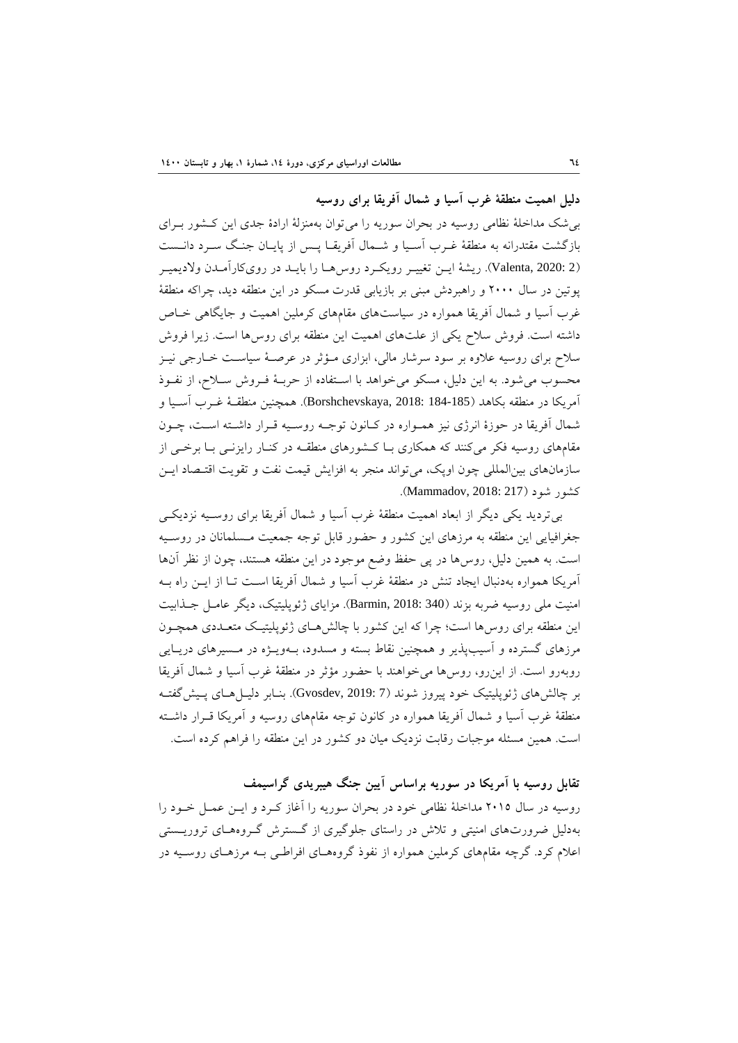**دليل اهميت منطقة غرب آسيا و شمال آفريقا براي روسيه**

بيشك مداخلة نظامي روسيه در بحران سوريه را ميتوان بهمنزلة ارادة جدي اين كـشور بـراي بازگشت مقتدرانه به منطقة غـرب آسـيا و شـمال آفريقـا پـس از پايـان جنـگ سـرد دانـست (2 2020: ,Valenta(. ريشة ايـن تغييـر رويكـرد روسهـا را بايـد در رويكارآمـدن ولاديميـر پوتين در سال 2000 و راهبردش مبني بر بازيابي قدرت مسكو در اين منطقه ديد، چراكه منطقة غرب آسيا و شمال آفريقا همواره در سياستهاي مقامهاي كرملين اهميت و جايگاهي خـاص داشته است. فروش سلاح يكي از علتهاي اهميت اين منطقه براي روسها است. زيرا فروش سلاح براي روسيه علاوه بر سود سرشار مالي، ابزاري مـؤثر در عرصـة سياسـت خـارجي نيـز محسوب ميشود. به اين دليل، مسكو ميخواهد با اسـتفاده از حربـة فـروش سـلاح، از نفـوذ آمريكا در منطقه بكاهد (184-185 2018: ,Borshchevskaya(. همچنين منطقـة غـرب آسـيا و شمال آفريقا در حوزة انرژي نيز همـواره در كـانون توجـه روسـيه قـرار داشـته اسـت، چـون مقامهاي روسيه فكر ميكنند كه همكاري بـا كـشورهاي منطقـه در كنـار رايزنـي بـا برخـي از سازمانهاي بينالمللي چون اوپك، ميتواند منجر به افزايش قيمت نفت و تقويت اقتـصاد ايـن كشور شود (217 2018: ,Mammadov(.

بيترديد يكي ديگر از ابعاد اهميت منطقة غرب آسيا و شمال آفريقا براي روسـيه نزديكـي جغرافيايي اين منطقه به مرزهاي اين كشور و حضور قابل توجه جمعيت مـسلمانان در روسـيه است. به همين دليل، روسها در پي حفظ وضع موجود در اين منطقه هستند، چون از نظر آنها آمريكا همواره بهدنبال ايجاد تنش در منطقة غرب آسيا و شمال آفريقا اسـت تـا از ايـن راه بـه امنيت ملي روسيه ضربه بزند (340 2018: ,Barmin(. مزاياي ژئوپليتيك، ديگر عامـل جـذابيت اين منطقه براي روسها است؛ چرا كه اين كشور با چالشهـاي ژئوپليتيـك متعـددي همچـون مرزهاي گسترده و آسيبپذير و همچنين نقاط بسته و مسدود، بـهويـژه در مـسيرهاي دريـايي روبهرو است. از اينرو، روسها ميخواهند با حضور مؤثر در منطقة غرب آسيا و شمال آفريقا بر چالشهاي ژئوپليتيك خود پيروز شوند (7 2019: ,Gvosdev(. بنـابر دليـلهـاي پـيشگفتـه منطقة غرب آسيا و شمال آفريقا همواره در كانون توجه مقامهاي روسيه و آمريكا قـرار داشـته است. همين مسئله موجبات رقابت نزديك ميان دو كشور در اين منطقه را فراهم كرده است.

**تقابل روسيه با آمريكا در سوريه براساس آيين جنگ هيبريدي گراسيمف** روسيه در سال 2015 مداخلة نظامي خود در بحران سوريه را آغاز كـرد و ايـن عمـل خـود را بهدليل ضرورتهاي امنيتي و تلاش در راستاي جلوگيري از گـسترش گـروههـاي تروريـستي اعلام كرد. گرچه مقامهاي كرملين همواره از نفوذ گروههـاي افراطـي بـه مرزهـاي روسـيه در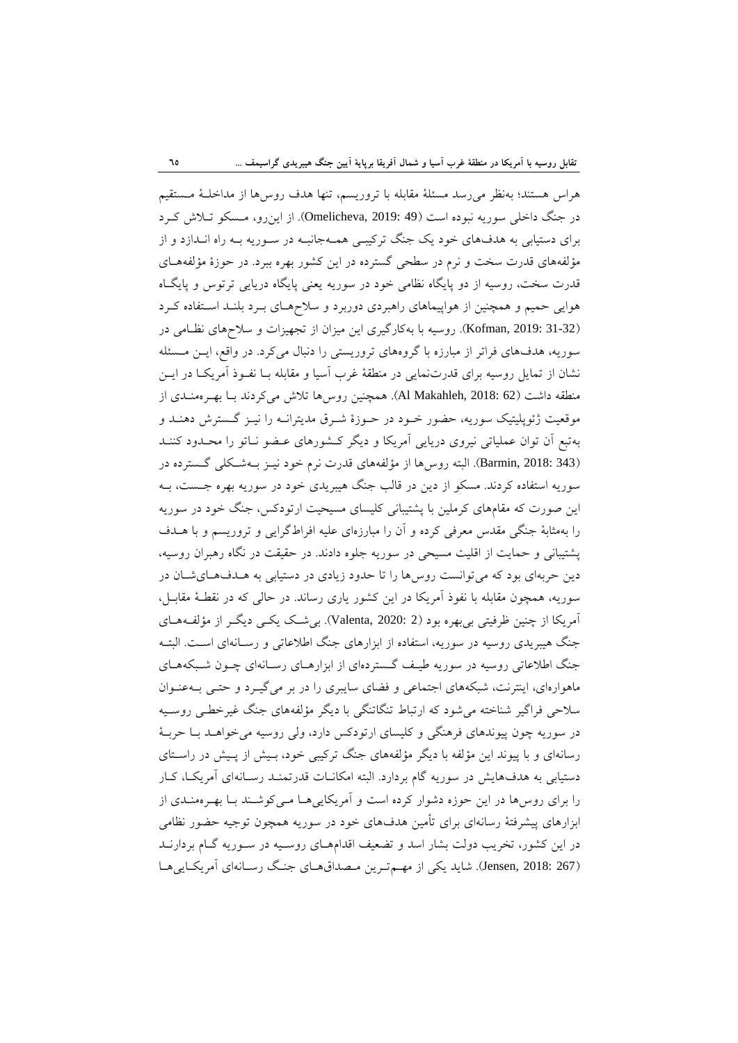هراس هستند؛ بهنظر ميرسد مسئلة مقابله با تروريسم، تنها هدف روسها از مداخلـة مـستقيم در جنگ داخلي سوريه نبوده است (49 2019: ,Omelicheva(. از اينرو، مـسكو تـلاش كـرد براي دستيابي به هدفهاي خود يك جنگ تركيبـي همـهجانبـه در سـوريه بـه راه انـدازد و از مؤلفههاي قدرت سخت و نرم در سطحي گسترده در اين كشور بهره ببرد. در حوزة مؤلفههـاي قدرت سخت، روسيه از دو پايگاه نظامي خود در سوريه يعني پايگاه دريايي ترتوس و پايگـاه هوايي حميم و همچنين از هواپيماهاي راهبردي دوربرد و سلاحهـاي بـرد بلنـد اسـتفاده كـرد (31-32 2019: ,Kofman(. روسيه با بهكارگيري اين ميزان از تجهيزات و سلاحهاي نظـامي در سوريه، هدفهاي فراتر از مبارزه با گروههاي تروريستي را دنبال ميكرد. در واقع، ايـن مـسئله نشان از تمايل روسيه براي قدرتنمايي در منطقة غرب آسيا و مقابله بـا نفـوذ آمريكـا در ايـن منطقه داشت (62 :Al Makahleh, 2018). همچنين روس ها تلاش مي كردند بـا بهـرهمنـدي از موقعيت ژئوپليتيك سوريه، حضور خـود در حـوزة شـرق مديترانـه را نيـز گـسترش دهنـد و بهتبع آن توان عملياتي نيروي دريايي آمريكا و ديگر كـشورهاي عـضو نـاتو را محـدود كننـد (343 2018: ,Barmin(. البته روسها از مؤلفههاي قدرت نرم خود نيـز بـهشـكلي گـسترده در سوريه استفاده كردند. مسكو از دين در قالب جنگ هيبريدي خود در سوريه بهره جـست، بـه اين صورت كه مقامهاي كرملين با پشتيباني كليساي مسيحيت ارتودكس، جنگ خود در سوريه را بهمثابة جنگي مقدس معرفي كرده و آن را مبارزهاي عليه افراطگرايي و تروريسم و با هـدف پشتيباني و حمايت از اقليت مسيحي در سوريه جلوه دادند. در حقيقت در نگاه رهبران روسيه، دين حربهاي بود كه ميتوانست روسها را تا حدود زيادي در دستيابي به هـدفهـايشـان در سوريه، همچون مقابله با نفوذ آمريكا در اين كشور ياري رساند. در حالي كه در نقطـة مقابـل، آمريكا از چنين ظرفيتي بيبهره بود (2 2020: ,Valenta(. بيشـك يكـي ديگـر از مؤلفـههـاي جنگ هيبريدي روسيه در سوريه، استفاده از ابزارهاي جنگ اطلاعاتي و رسـانهاي اسـت. البتـه جنگ اطلاعاتي روسيه در سوريه طيـف گـستردهاي از ابزارهـاي رسـانهاي چـون شـبكههـاي ماهوارهاي، اينترنت، شبكههاي اجتماعي و فضاي سايبري را در بر ميگيـرد و حتـي بـهعنـوان سلاحي فراگير شناخته ميشود كه ارتباط تنگاتنگي با ديگر مؤلفههاي جنگ غيرخطـي روسـيه در سوريه چون پيوندهاي فرهنگي و كليساي ارتودكس دارد، ولي روسيه ميخواهـد بـا حربـة رسانهاي و با پيوند اين مؤلفه با ديگر مؤلفههاي جنگ تركيبي خود، بـيش از پـيش در راسـتاي دستيابي به هدفهايش در سوريه گام بردارد. البته امكانـات قدرتمنـد رسـانهاي آمريكـا، كـار را براي روسها در اين حوزه دشوار كرده است و آمريكاييهـا مـيكوشـند بـا بهـرهمنـدي از ابزارهاي پيشرفتة رسانهاي براي تأمين هدفهاي خود در سوريه همچون توجيه حضور نظامي در اين كشور، تخريب دولت بشار اسد و تضعيف اقدامهـاي روسـيه در سـوريه گـام بردارنـد (267 2018: ,Jensen(. شايد يكي از مهـمتـرين مـصداقهـاي جنـگ رسـانهاي آمريكـاييهـا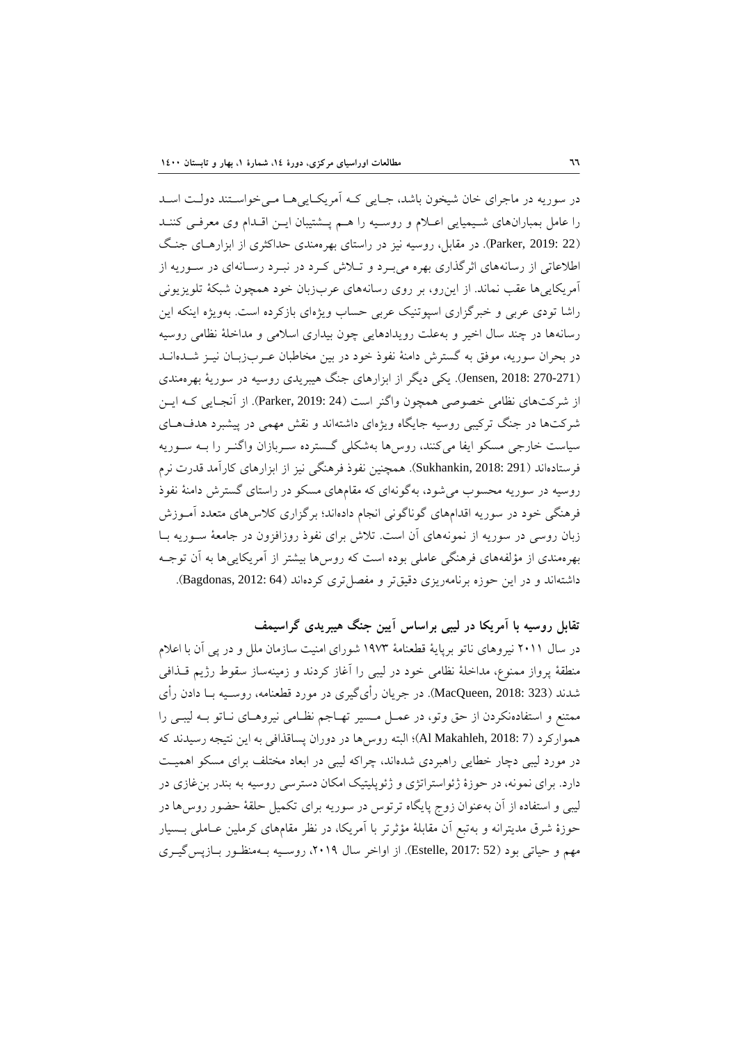در سوريه در ماجراي خان شيخون باشد، جـايي كـه آمريكـاييهـا مـيخواسـتند دولـت اسـد را عامل بمبارانهاي شـيميايي اعـلام و روسـيه را هـم پـشتيبان ايـن اقـدام وي معرفـي كننـد (22 2019: ,Parker(. در مقابل، روسيه نيز در راستاي بهرهمندي حداكثري از ابزارهـاي جنـگ اطلاعاتي از رسانههاي اثرگذاري بهره ميبـرد و تـلاش كـرد در نبـرد رسـانهاي در سـوريه از آمريكاييها عقب نماند. از اينرو، بر روي رسانههاي عربزبان خود همچون شبكة تلويزيوني راشا تودي عربي و خبرگزاري اسپوتنيك عربي حساب ويژهاي بازكرده است. بهويژه اينكه اين رسانهها در چند سال اخير و بهعلت رويدادهايي چون بيداري اسلامي و مداخلة نظامي روسيه در بحران سوريه، موفق به گسترش دامنة نفوذ خود در بين مخاطبان عـربزبـان نيـز شـدهانـد (270-271 2018: ,Jensen(. يكي ديگر از ابزارهاي جنگ هيبريدي روسيه در سورية بهرهمندي از شركتهاي نظامي خصوصي همچون واگنر است (24 2019: ,Parker(. از آنجـايي كـه ايـن شركتها در جنگ تركيبي روسيه جايگاه ويژهاي داشتهاند و نقش مهمي در پيشبرد هدفهـاي سياست خارجي مسكو ايفا ميكنند، روسها بهشكلي گـسترده سـربازان واگنـر را بـه سـوريه فرستادهاند (291 2018: ,Sukhankin(. همچنين نفوذ فرهنگي نيز از ابزارهاي كارآمد قدرت نرم روسيه در سوريه محسوب ميشود، بهگونهاي كه مقامهاي مسكو در راستاي گسترش دامنة نفوذ فرهنگي خود در سوريه اقدامهاي گوناگوني انجام دادهاند؛ برگزاري كلاسهاي متعدد آمـوزش زبان روسي در سوريه از نمونههاي آن است. تلاش براي نفوذ روزافزون در جامعة سـوريه بـا بهرهمندي از مؤلفههاي فرهنگي عاملي بوده است كه روسها بيشتر از آمريكاييها به آن توجـه داشتهاند و در اين حوزه برنامهريزي دقيقتر و مفصل تري كردهاند (64 :Bagdonas, 2012).

## **تقابل روسيه با آمريكا در ليبي براساس آيين جنگ هيبريدي گراسيمف**

در سال 2011 نيروهاي ناتو برپاية قطعنامة 1973 شوراي امنيت سازمان ملل و در پي آن با اعلام منطقة پرواز ممنوع، مداخلة نظامي خود در ليبي را آغاز كردند و زمينهساز سقوط رژيم قـذافي شدند (323 2018: ,MacQueen(. در جريان رأيگيري در مورد قطعنامه، روسـيه بـا دادن رأي ممتنع و استفادهنكردن از حق وتو، در عمـل مـسير تهـاجم نظـامي نيروهـاي نـاتو بـه ليبـي را همواركرد (7 2018: ,Makahleh Al(؛ البته روسها در دوران پساقذافي به اين نتيجه رسيدند كه در مورد ليبي دچار خطايي راهبردي شدهاند، چراكه ليبي در ابعاد مختلف براي مسكو اهميـت دارد. براي نمونه، در حوزة ژئواستراتژي و ژئوپليتيك امكان دسترسي روسيه به بندر بنغازي در ليبي و استفاده از آن بهعنوان زوج پايگاه ترتوس در سوريه براي تكميل حلقة حضور روسها در حوزة شرق مديترانه و بهتبع آن مقابلة مؤثرتر با آمريكا، در نظر مقامهاي كرملين عـاملي بـسيار مهم و حياتي بود (52 2017: ,Estelle(. از اواخر سال ،2019 روسـيه بـهمنظـور بـازپسگيـري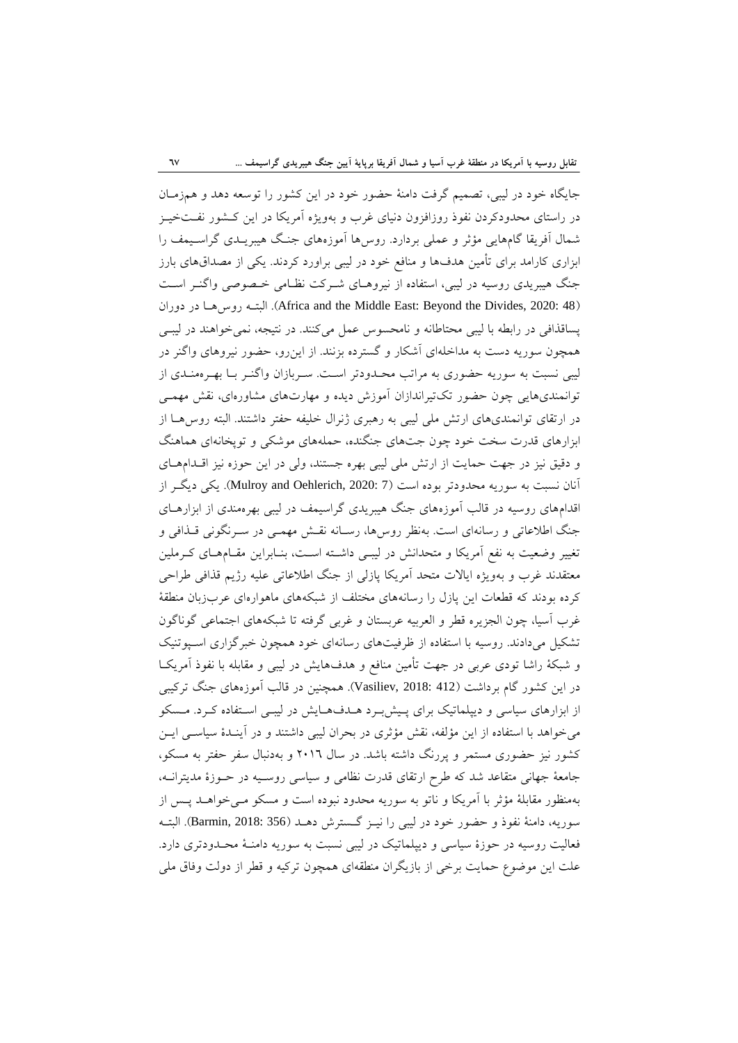جايگاه خود در ليبي، تصميم گرفت دامنة حضور خود در اين كشور را توسعه دهد و همزمـان در راستاي محدودكردن نفوذ روزافزون دنياي غرب و بهويژه آمريكا در اين كـشور نفـتخيـز شمال آفريقا گامهايي مؤثر و عملي بردارد. روسها آموزههاي جنـگ هيبريـدي گراسـيمف را ابزاري كارامد براي تأمين هدفها و منافع خود در ليبي براورد كردند. يكي از مصداقهاي بارز جنگ هيبريدي روسيه در ليبي، استفاده از نيروهـاي شـركت نظـامي خـصوصي واگنـر اسـت دوران در روسهـا البتـه .)Africa and the Middle East: Beyond the Divides, 2020: 48) پساقذافي در رابطه با ليبي محتاطانه و نامحسوس عمل ميكنند. در نتيجه، نميخواهند در ليبـي همچون سوريه دست به مداخلهاي آشكار و گسترده بزنند. از اينرو، حضور نيروهاي واگنر در ليبي نسبت به سوريه حضوري به مراتب محـدودتر اسـت. سـربازان واگنـر بـا بهـرهمنـدي از توانمنديهايي چون حضور تكتيراندازان آموزش ديده و مهارتهاي مشاورهاي، نقش مهمـي در ارتقاي توانمنديهاي ارتش ملي ليبي به رهبري ژنرال خليفه حفتر داشتند. البته روسهـا از ابزارهاي قدرت سخت خود چون جتهاي جنگنده، حملههاي موشكي و توپخانهاي هماهنگ و دقيق نيز در جهت حمايت از ارتش ملي ليبي بهره جستند، ولي در اين حوزه نيز اقـدامهـاي آنان نسبت به سوريه محدودتر بوده است (7 2020: ,Oehlerich and Mulroy(. يكي ديگـر از اقدامهاي روسيه در قالب آموزههاي جنگ هيبريدي گراسيمف در ليبي بهرهمندي از ابزارهـاي جنگ اطلاعاتي و رسانهاي است. بهنظر روسها، رسـانه نقـش مهمـي در سـرنگوني قـذافي و تغيير وضعيت به نفع آمريكا و متحدانش در ليبـي داشـته اسـت، بنـابراين مقـامهـاي كـرملين معتقدند غرب و بهويژه ايالات متحد آمريكا پازلي از جنگ اطلاعاتي عليه رژيم قذافي طراحي كرده بودند كه قطعات اين پازل را رسانههاي مختلف از شبكههاي ماهوارهاي عربزبان منطقة غرب آسيا، چون الجزيره قطر و العربيه عربستان و غربي گرفته تا شبكههاي اجتماعي گوناگون تشكيل ميدادند. روسيه با استفاده از ظرفيتهاي رسانهاي خود همچون خبرگزاري اسـپوتنيك و شبكة راشا تودي عربي در جهت تأمين منافع و هدفهايش در ليبي و مقابله با نفوذ آمريكـا در اين كشور گام برداشت (412 2018: ,Vasiliev(. همچنين در قالب آموزههاي جنگ تركيبي از ابزارهاي سياسي و ديپلماتيك براي پـيشبـرد هـدفهـايش در ليبـي اسـتفاده كـرد. مـسكو ميخواهد با استفاده از اين مؤلفه، نقش مؤثري در بحران ليبي داشتند و در آينـدة سياسـي ايـن كشور نيز حضوري مستمر و پررنگ داشته باشد. در سال 2016 و بهدنبال سفر حفتر به مسكو، جامعة جهاني متقاعد شد كه طرح ارتقاي قدرت نظامي و سياسي روسـيه در حـوزة مديترانـه، بهمنظور مقابلة مؤثر با آمريكا و ناتو به سوريه محدود نبوده است و مسكو مـيخواهـد پـس از سوريه، دامنة نفوذ و حضور خود در ليبي را نيـز گـسترش دهـد (356 2018: ,Barmin(. البتـه فعاليت روسيه در حوزة سياسي و ديپلماتيك در ليبي نسبت به سوريه دامنـة محـدودتري دارد. علت اين موضوع حمايت برخي از بازيگران منطقهاي همچون تركيه و قطر از دولت وفاق ملي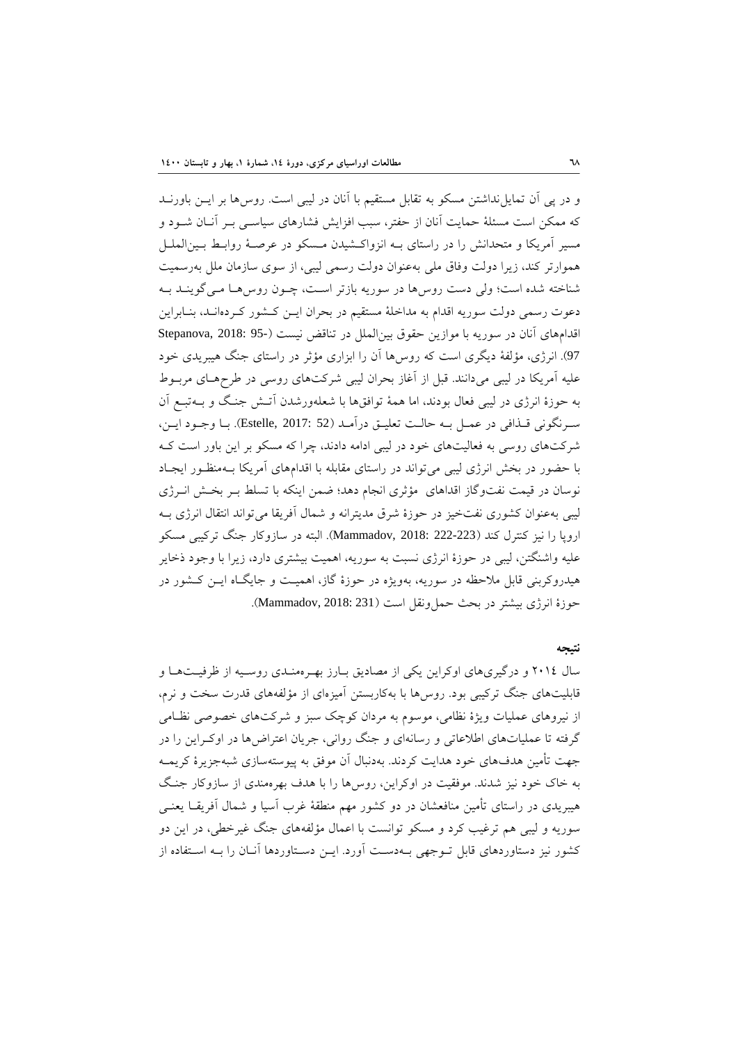و در پي آن تمايلنداشتن مسكو به تقابل مستقيم با آنان در ليبي است. روسها بر ايـن باورنـد كه ممكن است مسئلة حمايت آنان از حفتر، سبب افزايش فشارهاي سياسـي بـر آنـان شـود و مسير آمريكا و متحدانش را در راستاي بـه انزواكـشيدن مـسكو در عرصـة روابـط بـينالملـل هموارتر كند، زيرا دولت وفاق ملي بهعنوان دولت رسمي ليبي، از سوي سازمان ملل بهرسميت شناخته شده است؛ ولي دست روسها در سوريه بازتر اسـت، چـون روسهـا مـيگوينـد بـه دعوت رسمي دولت سوريه اقدام به مداخلة مستقيم در بحران ايـن كـشور كـردهانـد، بنـابراين اقدامهاي آنان در سوريه با موازين حقوق بين الملل در تناقض نيست (95- Stepanova, 2018: 95 97). انرژي، مؤلفة ديگري است كه روسها آن را ابزاري مؤثر در راستاي جنگ هيبريدي خود عليه آمريكا در ليبي ميدانند. قبل از آغاز بحران ليبي شركتهاي روسي در طرحهـاي مربـوط به حوزة انرژي در ليبي فعال بودند، اما همة توافقها با شعلهورشدن آتـش جنـگ و بـهتبـع آن سـرنگوني قـذافي در عمـل بـه حالـت تعليـق درآمـد (52 2017: ,Estelle(. بـا وجـود ايـن، شركتهاي روسي به فعاليتهاي خود در ليبي ادامه دادند، چرا كه مسكو بر اين باور است كـه با حضور در بخش انرژي ليبي ميتواند در راستاي مقابله با اقدامهاي آمريكا بـهمنظـور ايجـاد نوسان در قيمت نفتوگاز اقداهاي مؤثري انجام دهد؛ ضمن اينكه با تسلط بـر بخـش انـرژي ليبي بهعنوان كشوري نفتخيز در حوزة شرق مديترانه و شمال آفريقا ميتواند انتقال انرژي بـه اروپا را نيز كنترل كند (222-223 2018: ,Mammadov(. البته در سازوكار جنگ تركيبي مسكو عليه واشنگتن، ليبي در حوزة انرژي نسبت به سوريه، اهميت بيشتري دارد، زيرا با وجود ذخاير هيدروكربني قابل ملاحظه در سوريه، بهويژه در حوزة گاز، اهميـت و جايگـاه ايـن كـشور در حوزة انرژي بيشتر در بحث حمل ونقل است (231 :Mammadov, 2018).

#### **نتيجه**

سال 2014 و درگيريهاي اوكراين يكي از مصاديق بـارز بهـرهمنـدي روسـيه از ظرفيـتهـا و قابليتهاي جنگ تركيبي بود. روسها با بهكاربستن آميزهاي از مؤلفههاي قدرت سخت و نرم، از نيروهاي عمليات ويژة نظامي، موسوم به مردان كوچك سبز و شركتهاي خصوصي نظـامي گرفته تا عملياتهاي اطلاعاتي و رسانهاي و جنگ رواني، جريان اعتراضها در اوكـراين را در جهت تأمين هدفهاي خود هدايت كردند. بهدنبال آن موفق به پيوستهسازي شبهجزيرة كريمـه به خاك خود نيز شدند. موفقيت در اوكراين، روسها را با هدف بهرهمندي از سازوكار جنـگ هيبريدي در راستاي تأمين منافعشان در دو كشور مهم منطقة غرب آسيا و شمال آفريقـا يعنـي سوريه و ليبي هم ترغيب كرد و مسكو توانست با اعمال مؤلفههاي جنگ غيرخطي، در اين دو كشور نيز دستاوردهاي قابل تـوجهي بـهدسـت آورد. ايـن دسـتاوردها آنـان را بـه اسـتفاده از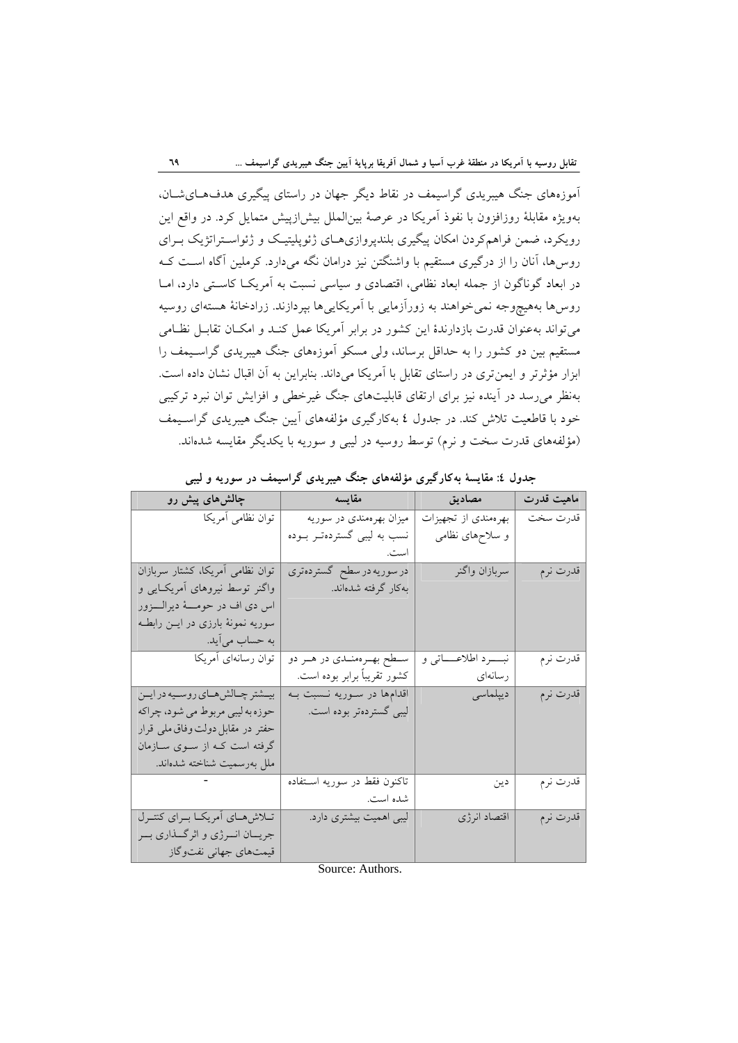آموزههاي جنگ هيبريدي گراسيمف در نقاط ديگر جهان در راستاي پيگيري هدفهـايشـان، بهويژه مقابلة روزافزون با نفوذ آمريكا در عرصة بينالملل بيشازپيش متمايل كرد. در واقع اين رويكرد، ضمن فراهمكردن امكان پيگيري بلندپروازيهـاي ژئوپليتيـك و ژئواسـتراتژيك بـراي روسها، آنان را از درگيري مستقيم با واشنگتن نيز درامان نگه ميدارد. كرملين آگاه اسـت كـه در ابعاد گوناگون از جمله ابعاد نظامي، اقتصادي و سياسي نسبت به آمريكـا كاسـتي دارد، امـا روسها بههيچوجه نميخواهند به زورآزمايي با آمريكاييها بپردازند. زرادخانة هستهاي روسيه ميتواند بهعنوان قدرت بازدارندة اين كشور در برابر آمريكا عمل كنـد و امكـان تقابـل نظـامي مستقيم بين دو كشور را به حداقل برساند، ولي مسكو آموزههاي جنگ هيبريدي گراسـيمف را ابزار مؤثرتر و ايمنتري در راستاي تقابل با آمريكا ميداند. بنابراين به آن اقبال نشان داده است. بهنظر ميرسد در آينده نيز براي ارتقاي قابليتهاي جنگ غيرخطي و افزايش توان نبرد تركيبي خود با قاطعيت تلاش كند. در جدول 4 بهكارگيري مؤلفههاي آيين جنگ هيبريدي گراسـيمف (مؤلفههاي قدرت سخت و نرم) توسط روسيه در ليبي و سوريه با يكديگر مقايسه شدهاند.

| جناون تا. شایسه به تار نیری موسسای جناب میبریدی کر میشت در متوریه و نیپی |                               |                                     |            |  |  |  |
|--------------------------------------------------------------------------|-------------------------------|-------------------------------------|------------|--|--|--|
| چالشهای پیش رو                                                           | المستحدث المتفايسة            | مصاديق                              | ماهيت قدرت |  |  |  |
| توان نظامی أمريکا                                                        | میزان بهرهمندی در سوریه       | بهرهمندي از تجهيزات                 | قدرت سخت   |  |  |  |
|                                                                          | نسب به لیبی گستردهتـر بــوده  | و سلاحهای نظامی                     |            |  |  |  |
|                                                                          |                               |                                     |            |  |  |  |
| توان نظامی أمريكا، كشتار سربازان                                         | در سوریه در سطح گستردهتری     | سربازان واگنر                       | قدرت نرم   |  |  |  |
| واگنر توسط نیروهای أمریکـایی و                                           | بەكار گرفتە شدەاند.           |                                     |            |  |  |  |
| اس دي اف در حومـــهٔ ديرالــــزور                                        |                               |                                     |            |  |  |  |
| سوریه نمونهٔ بارزی در ایــن رابطــه                                      |                               |                                     |            |  |  |  |
| به حساب میآید.                                                           |                               |                                     |            |  |  |  |
| توان رسانهای أمریکا                                                      | سطح بهرهمندي در هر دو         | نبـــــــــرد اطلاعـــــــــاتــى و | قدرت نرم   |  |  |  |
|                                                                          | كشور تقريباً برابر بوده است.  | رسانەاي                             |            |  |  |  |
| بيــشتر چــالش٥هــاي روســيه در ايــن                                    | اقدامها در سـوريه نــسبت بــه | ديپلماسى                            | قدرت نرم   |  |  |  |
| حوزه به ليبي مربوط مي شود، چراكه                                         | ليبي گستردهتر بوده است.       |                                     |            |  |  |  |
| حفتر در مقابل دولت وفاق ملي قرار                                         |                               |                                     |            |  |  |  |
| گرفته است کـه از ســوی ســازمان                                          |                               |                                     |            |  |  |  |
| ملل بەرسمیت شناختە شدەاند.                                               |                               |                                     |            |  |  |  |
|                                                                          | تاكنون فقط در سوريه اسـتفاده  | دين                                 | قدرت نرم   |  |  |  |
|                                                                          | شده است.                      |                                     |            |  |  |  |
| تلاش هاى أمريكا براي كنترل                                               | لیبی اهمیت بیشتری دارد.       | اقتصاد انرژى                        | قدرت نرم   |  |  |  |
| جریــان انــرژي و اثرگــذاري بــر                                        |                               |                                     |            |  |  |  |
| قیمتهای جهانی نفتوگاز                                                    |                               |                                     |            |  |  |  |

**جدول :4 مقايسة بهكارگيري مؤلفههاي جنگ هيبريدي گراسيمف در سوريه و ليبي**

Source: Authors.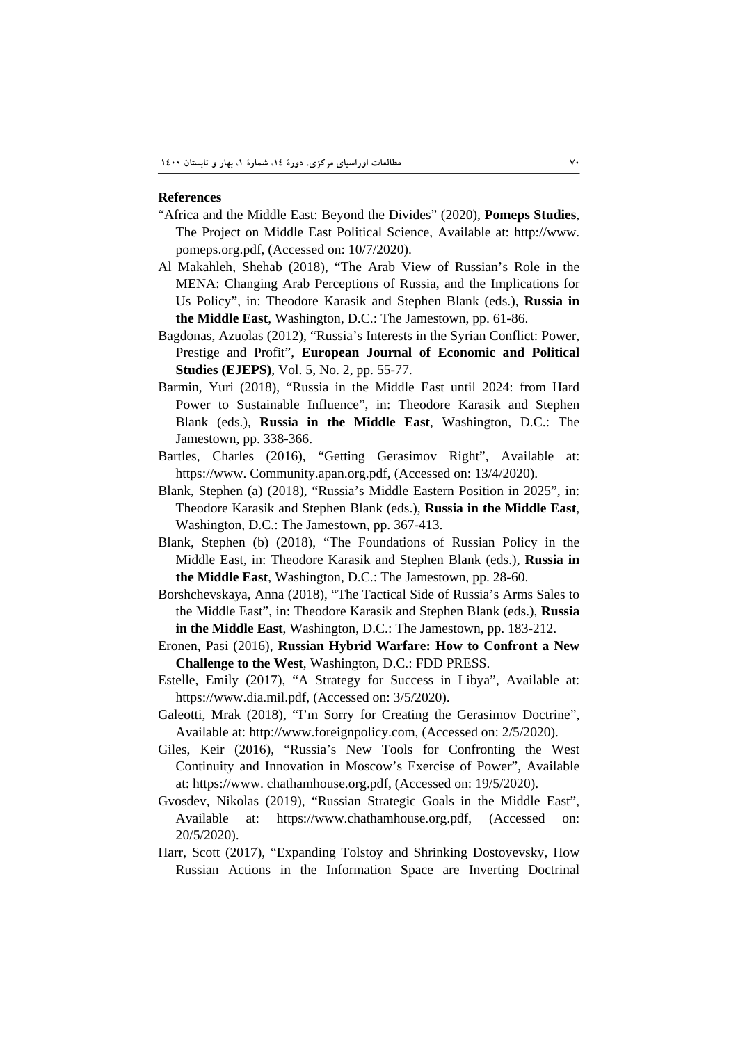#### **References**

- "Africa and the Middle East: Beyond the Divides" (2020), **Pomeps Studies**, The Project on Middle East Political Science, Available at: http://www. pomeps.org.pdf, (Accessed on: 10/7/2020).
- Al Makahleh, Shehab (2018), "The Arab View of Russian's Role in the MENA: Changing Arab Perceptions of Russia, and the Implications for Us Policy", in: Theodore Karasik and Stephen Blank (eds.), **Russia in the Middle East**, Washington, D.C.: The Jamestown, pp. 61-86.
- Bagdonas, Azuolas (2012), "Russia's Interests in the Syrian Conflict: Power, Prestige and Profit", **European Journal of Economic and Political Studies (EJEPS)**, Vol. 5, No. 2, pp. 55-77.
- Barmin, Yuri (2018), "Russia in the Middle East until 2024: from Hard Power to Sustainable Influence", in: Theodore Karasik and Stephen Blank (eds.), **Russia in the Middle East**, Washington, D.C.: The Jamestown, pp. 338-366.
- Bartles, Charles (2016), "Getting Gerasimov Right", Available at: https://www. Community.apan.org.pdf, (Accessed on: 13/4/2020).
- Blank, Stephen (a) (2018), "Russia's Middle Eastern Position in 2025", in: Theodore Karasik and Stephen Blank (eds.), **Russia in the Middle East**, Washington, D.C.: The Jamestown, pp. 367-413.
- Blank, Stephen (b) (2018), "The Foundations of Russian Policy in the Middle East, in: Theodore Karasik and Stephen Blank (eds.), **Russia in the Middle East**, Washington, D.C.: The Jamestown, pp. 28-60.
- Borshchevskaya, Anna (2018), "The Tactical Side of Russia's Arms Sales to the Middle East", in: Theodore Karasik and Stephen Blank (eds.), **Russia in the Middle East**, Washington, D.C.: The Jamestown, pp. 183-212.
- Eronen, Pasi (2016), **Russian Hybrid Warfare: How to Confront a New Challenge to the West**, Washington, D.C.: FDD PRESS.
- Estelle, Emily (2017), "A Strategy for Success in Libya", Available at: https://www.dia.mil.pdf, (Accessed on: 3/5/2020).
- Galeotti, Mrak (2018), "I'm Sorry for Creating the Gerasimov Doctrine", Available at: http://www.foreignpolicy.com, (Accessed on: 2/5/2020).
- Giles, Keir (2016), "Russia's New Tools for Confronting the West Continuity and Innovation in Moscow's Exercise of Power", Available at: https://www. chathamhouse.org.pdf, (Accessed on: 19/5/2020).
- Gvosdev, Nikolas (2019), "Russian Strategic Goals in the Middle East", Available at: https://www.chathamhouse.org.pdf, (Accessed on: 20/5/2020).
- Harr, Scott (2017), "Expanding Tolstoy and Shrinking Dostoyevsky, How Russian Actions in the Information Space are Inverting Doctrinal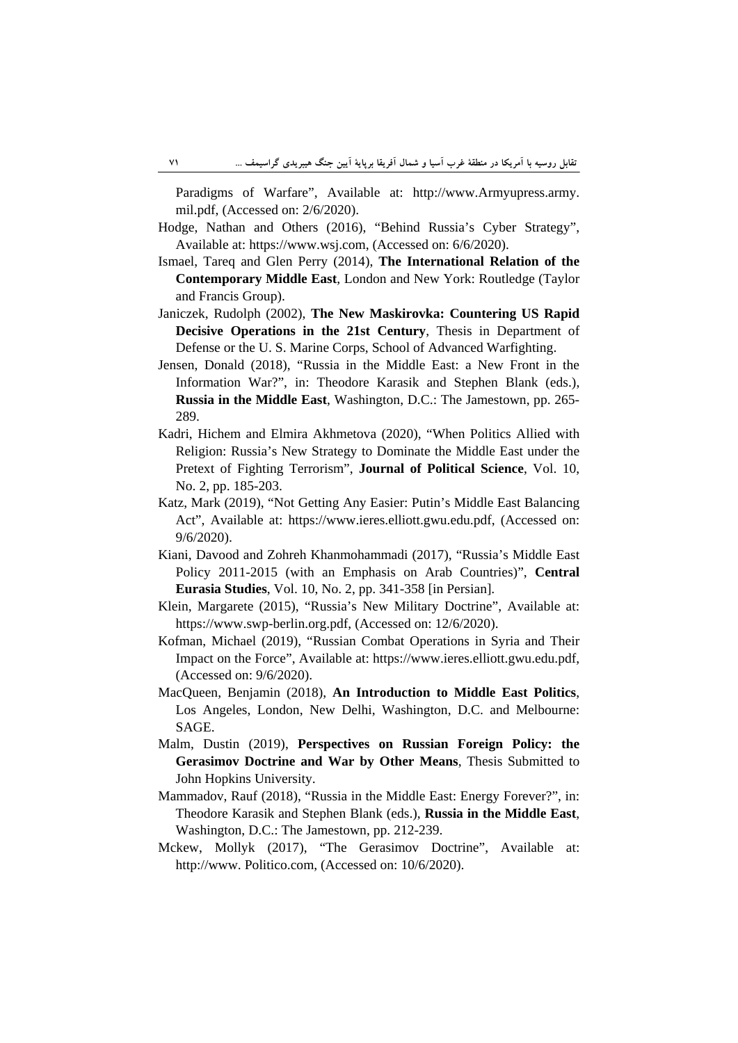Paradigms of Warfare", Available at: http://www.Armyupress.army. mil.pdf, (Accessed on: 2/6/2020).

- Hodge, Nathan and Others (2016), "Behind Russia's Cyber Strategy", Available at: https://www.wsj.com, (Accessed on: 6/6/2020).
- Ismael, Tareq and Glen Perry (2014), **The International Relation of the Contemporary Middle East**, London and New York: Routledge (Taylor and Francis Group).
- Janiczek, Rudolph (2002), **The New Maskirovka: Countering US Rapid Decisive Operations in the 21st Century**, Thesis in Department of Defense or the U. S. Marine Corps, School of Advanced Warfighting.
- Jensen, Donald (2018), "Russia in the Middle East: a New Front in the Information War?", in: Theodore Karasik and Stephen Blank (eds.), **Russia in the Middle East**, Washington, D.C.: The Jamestown, pp. 265- 289.
- Kadri, Hichem and Elmira Akhmetova (2020), "When Politics Allied with Religion: Russia's New Strategy to Dominate the Middle East under the Pretext of Fighting Terrorism", **Journal of Political Science**, Vol. 10, No. 2, pp. 185-203.
- Katz, Mark (2019), "Not Getting Any Easier: Putin's Middle East Balancing Act", Available at: https://www.ieres.elliott.gwu.edu.pdf, (Accessed on: 9/6/2020).
- Kiani, Davood and Zohreh Khanmohammadi (2017), "Russia's Middle East Policy 2011-2015 (with an Emphasis on Arab Countries)", **Central Eurasia Studies**, Vol. 10, No. 2, pp. 341-358 [in Persian].
- Klein, Margarete (2015), "Russia's New Military Doctrine", Available at: https://www.swp-berlin.org.pdf, (Accessed on: 12/6/2020).
- Kofman, Michael (2019), "Russian Combat Operations in Syria and Their Impact on the Force", Available at: https://www.ieres.elliott.gwu.edu.pdf, (Accessed on: 9/6/2020).
- MacQueen, Benjamin (2018), **An Introduction to Middle East Politics**, Los Angeles, London, New Delhi, Washington, D.C. and Melbourne: SAGE.
- Malm, Dustin (2019), **Perspectives on Russian Foreign Policy: the Gerasimov Doctrine and War by Other Means**, Thesis Submitted to John Hopkins University.
- Mammadov, Rauf (2018), "Russia in the Middle East: Energy Forever?", in: Theodore Karasik and Stephen Blank (eds.), **Russia in the Middle East**, Washington, D.C.: The Jamestown, pp. 212-239.
- Mckew, Mollyk (2017), "The Gerasimov Doctrine", Available at: http://www. Politico.com, (Accessed on: 10/6/2020).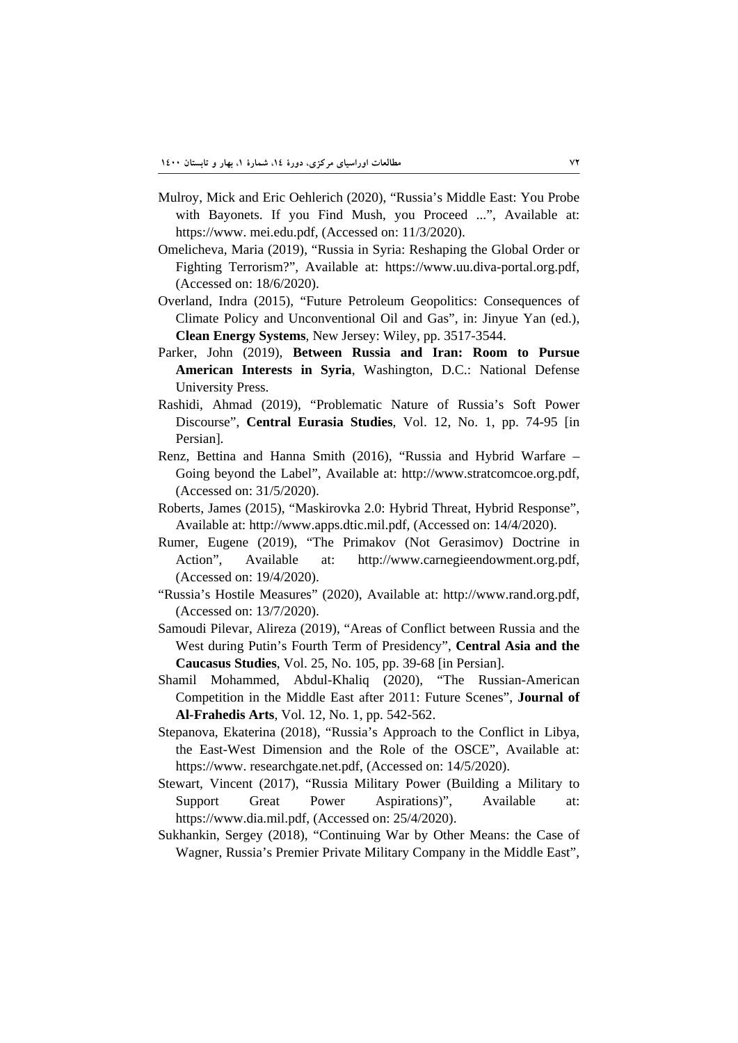- Mulroy, Mick and Eric Oehlerich (2020), "Russia's Middle East: You Probe with Bayonets. If you Find Mush, you Proceed ...", Available at: https://www. mei.edu.pdf, (Accessed on: 11/3/2020).
- Omelicheva, Maria (2019), "Russia in Syria: Reshaping the Global Order or Fighting Terrorism?", Available at: https://www.uu.diva-portal.org.pdf, (Accessed on: 18/6/2020).
- Overland, Indra (2015), "Future Petroleum Geopolitics: Consequences of Climate Policy and Unconventional Oil and Gas", in: Jinyue Yan (ed.), **Clean Energy Systems**, New Jersey: Wiley, pp. 3517-3544.
- Parker, John (2019), **Between Russia and Iran: Room to Pursue American Interests in Syria**, Washington, D.C.: National Defense University Press.
- Rashidi, Ahmad (2019), "Problematic Nature of Russia's Soft Power Discourse", **Central Eurasia Studies**, Vol. 12, No. 1, pp. 74-95 [in Persian].
- Renz, Bettina and Hanna Smith (2016), "Russia and Hybrid Warfare Going beyond the Label", Available at: http://www.stratcomcoe.org.pdf, (Accessed on: 31/5/2020).
- Roberts, James (2015), "Maskirovka 2.0: Hybrid Threat, Hybrid Response", Available at: http://www.apps.dtic.mil.pdf, (Accessed on: 14/4/2020).
- Rumer, Eugene (2019), "The Primakov (Not Gerasimov) Doctrine in Action", Available at: http://www.carnegieendowment.org.pdf, (Accessed on: 19/4/2020).
- "Russia's Hostile Measures" (2020), Available at: http://www.rand.org.pdf, (Accessed on: 13/7/2020).
- Samoudi Pilevar, Alireza (2019), "Areas of Conflict between Russia and the West during Putin's Fourth Term of Presidency", **Central Asia and the Caucasus Studies**, Vol. 25, No. 105, pp. 39-68 [in Persian].
- Shamil Mohammed, Abdul-Khaliq (2020), "The Russian-American Competition in the Middle East after 2011: Future Scenes", **Journal of Al-Frahedis Arts**, Vol. 12, No. 1, pp. 542-562.
- Stepanova, Ekaterina (2018), "Russia's Approach to the Conflict in Libya, the East-West Dimension and the Role of the OSCE", Available at: https://www. researchgate.net.pdf, (Accessed on: 14/5/2020).
- Stewart, Vincent (2017), "Russia Military Power (Building a Military to Support Great Power Aspirations)", Available at: https://www.dia.mil.pdf, (Accessed on: 25/4/2020).
- Sukhankin, Sergey (2018), "Continuing War by Other Means: the Case of Wagner, Russia's Premier Private Military Company in the Middle East",